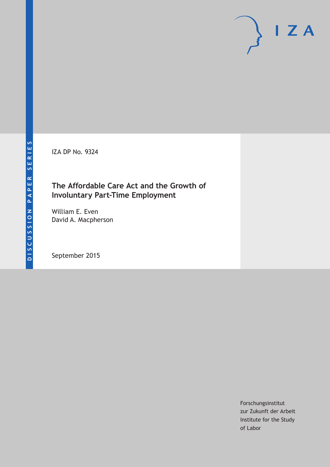IZA DP No. 9324

## **The Affordable Care Act and the Growth of Involuntary Part-Time Employment**

William E. Even David A. Macpherson

September 2015

Forschungsinstitut zur Zukunft der Arbeit Institute for the Study of Labor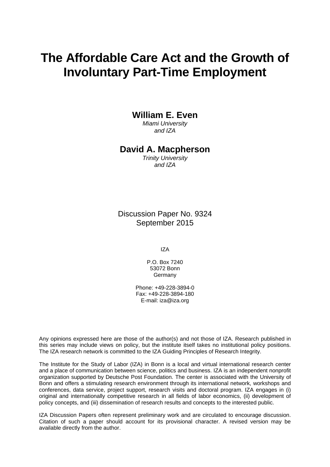# **The Affordable Care Act and the Growth of Involuntary Part-Time Employment**

#### **William E. Even**

*Miami University and IZA* 

#### **David A. Macpherson**

*Trinity University and IZA* 

Discussion Paper No. 9324 September 2015

IZA

P.O. Box 7240 53072 Bonn Germany

Phone: +49-228-3894-0 Fax: +49-228-3894-180 E-mail: iza@iza.org

Any opinions expressed here are those of the author(s) and not those of IZA. Research published in this series may include views on policy, but the institute itself takes no institutional policy positions. The IZA research network is committed to the IZA Guiding Principles of Research Integrity.

The Institute for the Study of Labor (IZA) in Bonn is a local and virtual international research center and a place of communication between science, politics and business. IZA is an independent nonprofit organization supported by Deutsche Post Foundation. The center is associated with the University of Bonn and offers a stimulating research environment through its international network, workshops and conferences, data service, project support, research visits and doctoral program. IZA engages in (i) original and internationally competitive research in all fields of labor economics, (ii) development of policy concepts, and (iii) dissemination of research results and concepts to the interested public.

IZA Discussion Papers often represent preliminary work and are circulated to encourage discussion. Citation of such a paper should account for its provisional character. A revised version may be available directly from the author.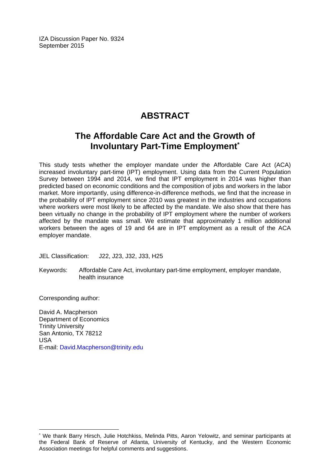IZA Discussion Paper No. 9324 September 2015

# **ABSTRACT**

## **The Affordable Care Act and the Growth of Involuntary Part-Time Employment\***

This study tests whether the employer mandate under the Affordable Care Act (ACA) increased involuntary part-time (IPT) employment. Using data from the Current Population Survey between 1994 and 2014, we find that IPT employment in 2014 was higher than predicted based on economic conditions and the composition of jobs and workers in the labor market. More importantly, using difference-in-difference methods, we find that the increase in the probability of IPT employment since 2010 was greatest in the industries and occupations where workers were most likely to be affected by the mandate. We also show that there has been virtually no change in the probability of IPT employment where the number of workers affected by the mandate was small. We estimate that approximately 1 million additional workers between the ages of 19 and 64 are in IPT employment as a result of the ACA employer mandate.

JEL Classification: J22, J23, J32, J33, H25

Keywords: Affordable Care Act, involuntary part-time employment, employer mandate, health insurance

Corresponding author:

 $\overline{a}$ 

David A. Macpherson Department of Economics Trinity University San Antonio, TX 78212 USA E-mail: David.Macpherson@trinity.edu

<sup>\*</sup> We thank Barry Hirsch, Julie Hotchkiss, Melinda Pitts, Aaron Yelowitz, and seminar participants at the Federal Bank of Reserve of Atlanta, University of Kentucky, and the Western Economic Association meetings for helpful comments and suggestions.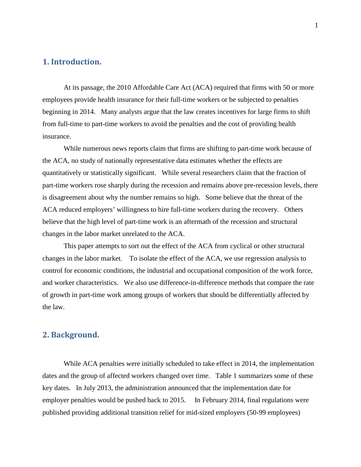#### **1. Introduction.**

At its passage, the 2010 Affordable Care Act (ACA) required that firms with 50 or more employees provide health insurance for their full-time workers or be subjected to penalties beginning in 2014. Many analysts argue that the law creates incentives for large firms to shift from full-time to part-time workers to avoid the penalties and the cost of providing health insurance.

While numerous news reports claim that firms are shifting to part-time work because of the ACA, no study of nationally representative data estimates whether the effects are quantitatively or statistically significant. While several researchers claim that the fraction of part-time workers rose sharply during the recession and remains above pre-recession levels, there is disagreement about why the number remains so high. Some believe that the threat of the ACA reduced employers' willingness to hire full-time workers during the recovery. Others believe that the high level of part-time work is an aftermath of the recession and structural changes in the labor market unrelated to the ACA.

This paper attempts to sort out the effect of the ACA from cyclical or other structural changes in the labor market. To isolate the effect of the ACA, we use regression analysis to control for economic conditions, the industrial and occupational composition of the work force, and worker characteristics. We also use difference-in-difference methods that compare the rate of growth in part-time work among groups of workers that should be differentially affected by the law.

#### **2. Background.**

While ACA penalties were initially scheduled to take effect in 2014, the implementation dates and the group of affected workers changed over time. Table 1 summarizes some of these key dates. In July 2013, the administration announced that the implementation date for employer penalties would be pushed back to 2015. In February 2014, final regulations were published providing additional transition relief for mid-sized employers (50-99 employees)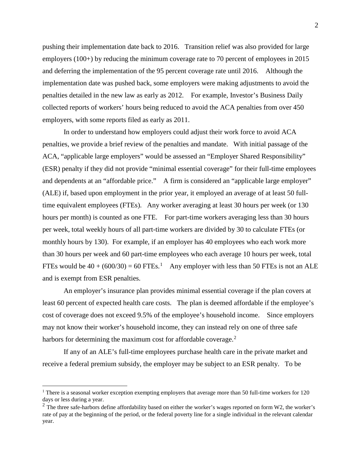pushing their implementation date back to 2016. Transition relief was also provided for large employers (100+) by reducing the minimum coverage rate to 70 percent of employees in 2015 and deferring the implementation of the 95 percent coverage rate until 2016. Although the implementation date was pushed back, some employers were making adjustments to avoid the penalties detailed in the new law as early as 2012. For example, Investor's Business Daily collected reports of workers' hours being reduced to avoid the ACA penalties from over 450 employers, with some reports filed as early as 2011.

In order to understand how employers could adjust their work force to avoid ACA penalties, we provide a brief review of the penalties and mandate. With initial passage of the ACA, "applicable large employers" would be assessed an "Employer Shared Responsibility" (ESR) penalty if they did not provide "minimal essential coverage" for their full-time employees and dependents at an "affordable price." A firm is considered an "applicable large employer" (ALE) if, based upon employment in the prior year, it employed an average of at least 50 fulltime equivalent employees (FTEs). Any worker averaging at least 30 hours per week (or 130 hours per month) is counted as one FTE. For part-time workers averaging less than 30 hours per week, total weekly hours of all part-time workers are divided by 30 to calculate FTEs (or monthly hours by 130). For example, if an employer has 40 employees who each work more than 30 hours per week and 60 part-time employees who each average 10 hours per week, total FTEs would be  $40 + (600/30) = 60$  FTEs.<sup>[1](#page-4-0)</sup> Any employer with less than 50 FTEs is not an ALE and is exempt from ESR penalties.

An employer's insurance plan provides minimal essential coverage if the plan covers at least 60 percent of expected health care costs. The plan is deemed affordable if the employee's cost of coverage does not exceed 9.5% of the employee's household income. Since employers may not know their worker's household income, they can instead rely on one of three safe harbors for determining the maximum cost for affordable coverage. $2$ 

If any of an ALE's full-time employees purchase health care in the private market and receive a federal premium subsidy, the employer may be subject to an ESR penalty. To be

<span id="page-4-0"></span><sup>&</sup>lt;sup>1</sup> There is a seasonal worker exception exempting employers that average more than 50 full-time workers for 120 days or less during a year.

<span id="page-4-1"></span><sup>&</sup>lt;sup>2</sup> The three safe-harbors define affordability based on either the worker's wages reported on form W2, the worker's rate of pay at the beginning of the period, or the federal poverty line for a single individual in the relevant calendar year.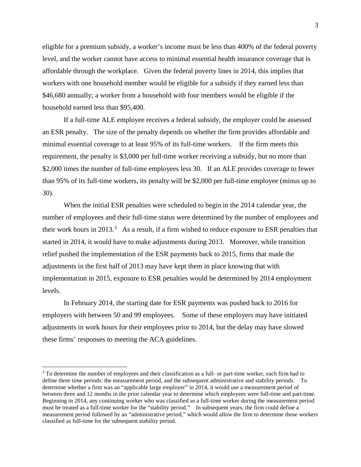eligible for a premium subsidy, a worker's income must be less than 400% of the federal poverty level, and the worker cannot have access to minimal essential health insurance coverage that is affordable through the workplace. Given the federal poverty lines in 2014, this implies that workers with one household member would be eligible for a subsidy if they earned less than \$46,680 annually; a worker from a household with four members would be eligible if the household earned less than \$95,400.

If a full-time ALE employee receives a federal subsidy, the employer could be assessed an ESR penalty. The size of the penalty depends on whether the firm provides affordable and minimal essential coverage to at least 95% of its full-time workers. If the firm meets this requirement, the penalty is \$3,000 per full-time worker receiving a subsidy, but no more than \$2,000 times the number of full-time employees less 30. If an ALE provides coverage to fewer than 95% of its full-time workers, its penalty will be \$2,000 per full-time employee (minus up to 30).

When the initial ESR penalties were scheduled to begin in the 2014 calendar year, the number of employees and their full-time status were determined by the number of employees and their work hours in 201[3](#page-5-0).<sup>3</sup> As a result, if a firm wished to reduce exposure to ESR penalties that started in 2014, it would have to make adjustments during 2013. Moreover, while transition relief pushed the implementation of the ESR payments back to 2015, firms that made the adjustments in the first half of 2013 may have kept them in place knowing that with implementation in 2015, exposure to ESR penalties would be determined by 2014 employment levels.

In February 2014, the starting date for ESR payments was pushed back to 2016 for employers with between 50 and 99 employees. Some of these employers may have initiated adjustments in work hours for their employees prior to 2014, but the delay may have slowed these firms' responses to meeting the ACA guidelines.

<span id="page-5-0"></span><sup>&</sup>lt;sup>3</sup> To determine the number of employees and their classification as a full- or part-time worker, each firm had to define three time periods: the measurement period, and the subsequent administrative and stability periods. To determine whether a firm was an "applicable large employer" in 2014, it would use a measurement period of between three and 12 months in the prior calendar year to determine which employees were full-time and part-time. Beginning in 2014, any continuing worker who was classified as a full-time worker during the measurement period must be treated as a full-time worker for the "stability period." In subsequent years, the firm could define a measurement period followed by an "administrative period," which would allow the firm to determine those workers classified as full-time for the subsequent stability period.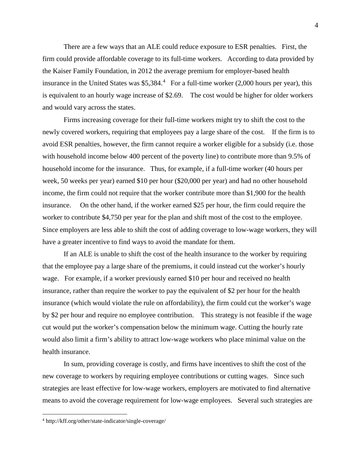There are a few ways that an ALE could reduce exposure to ESR penalties. First, the firm could provide affordable coverage to its full-time workers. According to data provided by the Kaiser Family Foundation, in 2012 the average premium for employer-based health insurance in the United States was  $$5,384<sup>4</sup>$  $$5,384<sup>4</sup>$  $$5,384<sup>4</sup>$  For a full-time worker (2,000 hours per year), this is equivalent to an hourly wage increase of \$2.69. The cost would be higher for older workers and would vary across the states.

Firms increasing coverage for their full-time workers might try to shift the cost to the newly covered workers, requiring that employees pay a large share of the cost. If the firm is to avoid ESR penalties, however, the firm cannot require a worker eligible for a subsidy (i.e. those with household income below 400 percent of the poverty line) to contribute more than 9.5% of household income for the insurance. Thus, for example, if a full-time worker (40 hours per week, 50 weeks per year) earned \$10 per hour (\$20,000 per year) and had no other household income, the firm could not require that the worker contribute more than \$1,900 for the health insurance. On the other hand, if the worker earned \$25 per hour, the firm could require the worker to contribute \$4,750 per year for the plan and shift most of the cost to the employee. Since employers are less able to shift the cost of adding coverage to low-wage workers, they will have a greater incentive to find ways to avoid the mandate for them.

If an ALE is unable to shift the cost of the health insurance to the worker by requiring that the employee pay a large share of the premiums, it could instead cut the worker's hourly wage. For example, if a worker previously earned \$10 per hour and received no health insurance, rather than require the worker to pay the equivalent of \$2 per hour for the health insurance (which would violate the rule on affordability), the firm could cut the worker's wage by \$2 per hour and require no employee contribution. This strategy is not feasible if the wage cut would put the worker's compensation below the minimum wage. Cutting the hourly rate would also limit a firm's ability to attract low-wage workers who place minimal value on the health insurance.

In sum, providing coverage is costly, and firms have incentives to shift the cost of the new coverage to workers by requiring employee contributions or cutting wages. Since such strategies are least effective for low-wage workers, employers are motivated to find alternative means to avoid the coverage requirement for low-wage employees. Several such strategies are

<span id="page-6-0"></span> <sup>4</sup> http://kff.org/other/state-indicator/single-coverage/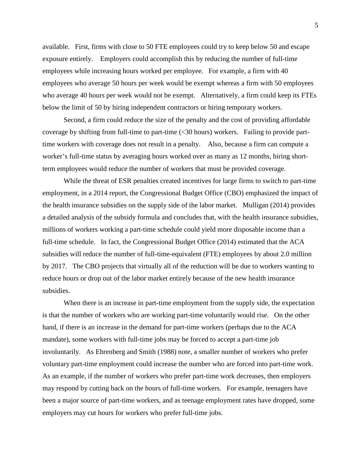available. First, firms with close to 50 FTE employees could try to keep below 50 and escape exposure entirely. Employers could accomplish this by reducing the number of full-time employees while increasing hours worked per employee. For example, a firm with 40 employees who average 50 hours per week would be exempt whereas a firm with 50 employees who average 40 hours per week would not be exempt. Alternatively, a firm could keep its FTEs below the limit of 50 by hiring independent contractors or hiring temporary workers.

Second, a firm could reduce the size of the penalty and the cost of providing affordable coverage by shifting from full-time to part-time (<30 hours) workers. Failing to provide parttime workers with coverage does not result in a penalty. Also, because a firm can compute a worker's full-time status by averaging hours worked over as many as 12 months, hiring shortterm employees would reduce the number of workers that must be provided coverage.

While the threat of ESR penalties created incentives for large firms to switch to part-time employment, in a 2014 report, the Congressional Budget Office (CBO) emphasized the impact of the health insurance subsidies on the supply side of the labor market. Mulligan (2014) provides a detailed analysis of the subsidy formula and concludes that, with the health insurance subsidies, millions of workers working a part-time schedule could yield more disposable income than a full-time schedule. In fact, the Congressional Budget Office (2014) estimated that the ACA subsidies will reduce the number of full-time-equivalent (FTE) employees by about 2.0 million by 2017. The CBO projects that virtually all of the reduction will be due to workers wanting to reduce hours or drop out of the labor market entirely because of the new health insurance subsidies.

When there is an increase in part-time employment from the supply side, the expectation is that the number of workers who are working part-time voluntarily would rise. On the other hand, if there is an increase in the demand for part-time workers (perhaps due to the ACA mandate), some workers with full-time jobs may be forced to accept a part-time job involuntarily. As Ehrenberg and Smith (1988) note, a smaller number of workers who prefer voluntary part-time employment could increase the number who are forced into part-time work. As an example, if the number of workers who prefer part-time work decreases, then employers may respond by cutting back on the hours of full-time workers. For example, teenagers have been a major source of part-time workers, and as teenage employment rates have dropped, some employers may cut hours for workers who prefer full-time jobs.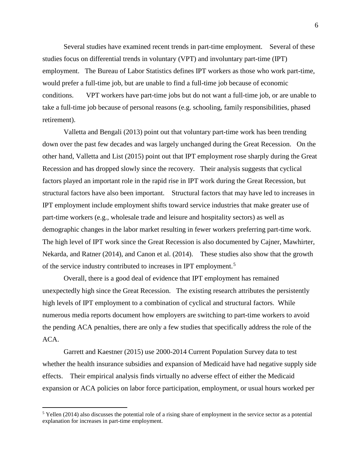Several studies have examined recent trends in part-time employment. Several of these studies focus on differential trends in voluntary (VPT) and involuntary part-time (IPT) employment. The Bureau of Labor Statistics defines IPT workers as those who work part-time, would prefer a full-time job, but are unable to find a full-time job because of economic conditions. VPT workers have part-time jobs but do not want a full-time job, or are unable to take a full-time job because of personal reasons (e.g. schooling, family responsibilities, phased retirement).

Valletta and Bengali (2013) point out that voluntary part-time work has been trending down over the past few decades and was largely unchanged during the Great Recession. On the other hand, Valletta and List (2015) point out that IPT employment rose sharply during the Great Recession and has dropped slowly since the recovery. Their analysis suggests that cyclical factors played an important role in the rapid rise in IPT work during the Great Recession, but structural factors have also been important. Structural factors that may have led to increases in IPT employment include employment shifts toward service industries that make greater use of part-time workers (e.g., wholesale trade and leisure and hospitality sectors) as well as demographic changes in the labor market resulting in fewer workers preferring part-time work. The high level of IPT work since the Great Recession is also documented by Cajner, Mawhirter, Nekarda, and Ratner (2014), and Canon et al. (2014). These studies also show that the growth of the service industry contributed to increases in IPT employment.<sup>[5](#page-8-0)</sup>

Overall, there is a good deal of evidence that IPT employment has remained unexpectedly high since the Great Recession. The existing research attributes the persistently high levels of IPT employment to a combination of cyclical and structural factors. While numerous media reports document how employers are switching to part-time workers to avoid the pending ACA penalties, there are only a few studies that specifically address the role of the ACA.

Garrett and Kaestner (2015) use 2000-2014 Current Population Survey data to test whether the health insurance subsidies and expansion of Medicaid have had negative supply side effects. Their empirical analysis finds virtually no adverse effect of either the Medicaid expansion or ACA policies on labor force participation, employment, or usual hours worked per

<span id="page-8-0"></span> $5$  Yellen (2014) also discusses the potential role of a rising share of employment in the service sector as a potential explanation for increases in part-time employment.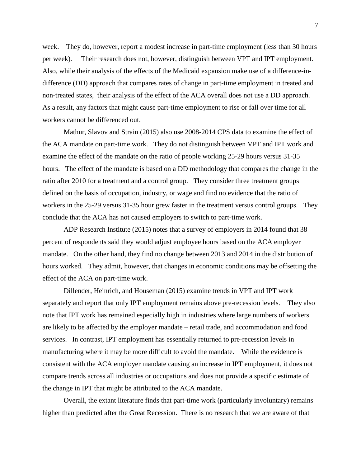week. They do, however, report a modest increase in part-time employment (less than 30 hours per week). Their research does not, however, distinguish between VPT and IPT employment. Also, while their analysis of the effects of the Medicaid expansion make use of a difference-indifference (DD) approach that compares rates of change in part-time employment in treated and non-treated states, their analysis of the effect of the ACA overall does not use a DD approach. As a result, any factors that might cause part-time employment to rise or fall over time for all workers cannot be differenced out.

Mathur, Slavov and Strain (2015) also use 2008-2014 CPS data to examine the effect of the ACA mandate on part-time work. They do not distinguish between VPT and IPT work and examine the effect of the mandate on the ratio of people working 25-29 hours versus 31-35 hours. The effect of the mandate is based on a DD methodology that compares the change in the ratio after 2010 for a treatment and a control group. They consider three treatment groups defined on the basis of occupation, industry, or wage and find no evidence that the ratio of workers in the 25-29 versus 31-35 hour grew faster in the treatment versus control groups. They conclude that the ACA has not caused employers to switch to part-time work.

ADP Research Institute (2015) notes that a survey of employers in 2014 found that 38 percent of respondents said they would adjust employee hours based on the ACA employer mandate. On the other hand, they find no change between 2013 and 2014 in the distribution of hours worked. They admit, however, that changes in economic conditions may be offsetting the effect of the ACA on part-time work.

Dillender, Heinrich, and Houseman (2015) examine trends in VPT and IPT work separately and report that only IPT employment remains above pre-recession levels. They also note that IPT work has remained especially high in industries where large numbers of workers are likely to be affected by the employer mandate – retail trade, and accommodation and food services. In contrast, IPT employment has essentially returned to pre-recession levels in manufacturing where it may be more difficult to avoid the mandate. While the evidence is consistent with the ACA employer mandate causing an increase in IPT employment, it does not compare trends across all industries or occupations and does not provide a specific estimate of the change in IPT that might be attributed to the ACA mandate.

Overall, the extant literature finds that part-time work (particularly involuntary) remains higher than predicted after the Great Recession. There is no research that we are aware of that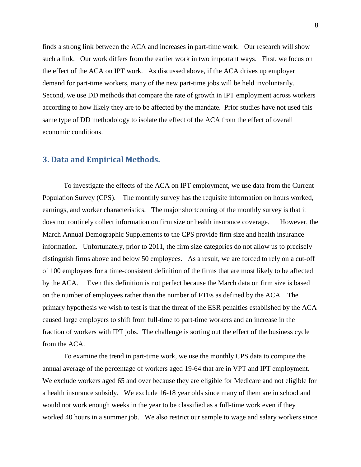finds a strong link between the ACA and increases in part-time work. Our research will show such a link. Our work differs from the earlier work in two important ways. First, we focus on the effect of the ACA on IPT work. As discussed above, if the ACA drives up employer demand for part-time workers, many of the new part-time jobs will be held involuntarily. Second, we use DD methods that compare the rate of growth in IPT employment across workers according to how likely they are to be affected by the mandate. Prior studies have not used this same type of DD methodology to isolate the effect of the ACA from the effect of overall economic conditions.

#### **3. Data and Empirical Methods.**

To investigate the effects of the ACA on IPT employment, we use data from the Current Population Survey (CPS). The monthly survey has the requisite information on hours worked, earnings, and worker characteristics. The major shortcoming of the monthly survey is that it does not routinely collect information on firm size or health insurance coverage. However, the March Annual Demographic Supplements to the CPS provide firm size and health insurance information. Unfortunately, prior to 2011, the firm size categories do not allow us to precisely distinguish firms above and below 50 employees. As a result, we are forced to rely on a cut-off of 100 employees for a time-consistent definition of the firms that are most likely to be affected by the ACA. Even this definition is not perfect because the March data on firm size is based on the number of employees rather than the number of FTEs as defined by the ACA. The primary hypothesis we wish to test is that the threat of the ESR penalties established by the ACA caused large employers to shift from full-time to part-time workers and an increase in the fraction of workers with IPT jobs. The challenge is sorting out the effect of the business cycle from the ACA.

To examine the trend in part-time work, we use the monthly CPS data to compute the annual average of the percentage of workers aged 19-64 that are in VPT and IPT employment. We exclude workers aged 65 and over because they are eligible for Medicare and not eligible for a health insurance subsidy. We exclude 16-18 year olds since many of them are in school and would not work enough weeks in the year to be classified as a full-time work even if they worked 40 hours in a summer job. We also restrict our sample to wage and salary workers since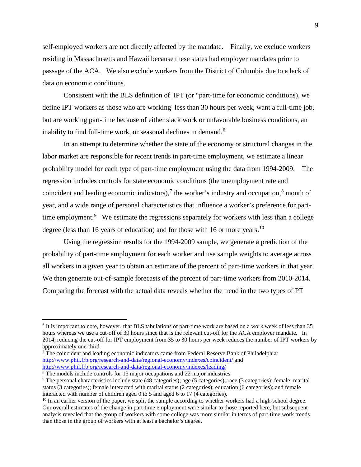self-employed workers are not directly affected by the mandate. Finally, we exclude workers residing in Massachusetts and Hawaii because these states had employer mandates prior to passage of the ACA. We also exclude workers from the District of Columbia due to a lack of data on economic conditions.

Consistent with the BLS definition of IPT (or "part-time for economic conditions), we define IPT workers as those who are working less than 30 hours per week, want a full-time job, but are working part-time because of either slack work or unfavorable business conditions, an inability to find full-time work, or seasonal declines in demand.<sup>[6](#page-11-0)</sup>

In an attempt to determine whether the state of the economy or structural changes in the labor market are responsible for recent trends in part-time employment, we estimate a linear probability model for each type of part-time employment using the data from 1994-2009. The regression includes controls for state economic conditions (the unemployment rate and coincident and leading economic indicators),<sup>[7](#page-11-1)</sup> the worker's industry and occupation, $\frac{8}{3}$  $\frac{8}{3}$  $\frac{8}{3}$  month of year, and a wide range of personal characteristics that influence a worker's preference for part-time employment.<sup>[9](#page-11-3)</sup> We estimate the regressions separately for workers with less than a college degree (less than 16 years of education) and for those with 16 or more years.<sup>[10](#page-11-4)</sup>

Using the regression results for the 1994-2009 sample, we generate a prediction of the probability of part-time employment for each worker and use sample weights to average across all workers in a given year to obtain an estimate of the percent of part-time workers in that year. We then generate out-of-sample forecasts of the percent of part-time workers from 2010-2014. Comparing the forecast with the actual data reveals whether the trend in the two types of PT

<span id="page-11-0"></span> <sup>6</sup> It is important to note, however, that BLS tabulations of part-time work are based on a work week of less than 35 hours whereas we use a cut-off of 30 hours since that is the relevant cut-off for the ACA employer mandate. In 2014, reducing the cut-off for IPT employment from 35 to 30 hours per week reduces the number of IPT workers by approximately one-third.<br><sup>7</sup> The coincident and leading economic indicators came from Federal Reserve Bank of Philadelphia:

<span id="page-11-1"></span><http://www.phil.frb.org/research-and-data/regional-economy/indexes/coincident/> and <http://www.phil.frb.org/research-and-data/regional-economy/indexes/leading/><br><sup>8</sup> The models include controls for 13 major occupations and 22 major industries.

<span id="page-11-2"></span>

<span id="page-11-3"></span><sup>&</sup>lt;sup>9</sup> The personal characteristics include state (48 categories); age (5 categories); race (3 categories); female, marital status (3 categories); female interacted with marital status (2 categories); education (6 categories); and female interacted with number of children aged 0 to 5 and aged 6 to 17 (4 categories).

<span id="page-11-4"></span> $10$  In an earlier version of the paper, we split the sample according to whether workers had a high-school degree. Our overall estimates of the change in part-time employment were similar to those reported here, but subsequent analysis revealed that the group of workers with some college was more similar in terms of part-time work trends than those in the group of workers with at least a bachelor's degree.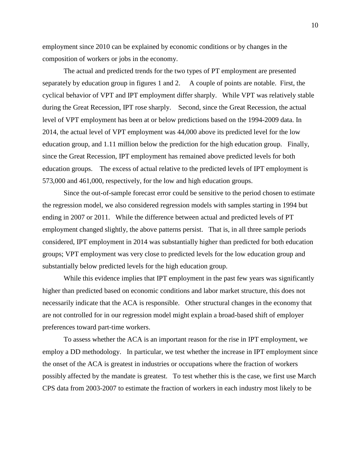employment since 2010 can be explained by economic conditions or by changes in the composition of workers or jobs in the economy.

The actual and predicted trends for the two types of PT employment are presented separately by education group in figures 1 and 2. A couple of points are notable. First, the cyclical behavior of VPT and IPT employment differ sharply. While VPT was relatively stable during the Great Recession, IPT rose sharply. Second, since the Great Recession, the actual level of VPT employment has been at or below predictions based on the 1994-2009 data. In 2014, the actual level of VPT employment was 44,000 above its predicted level for the low education group, and 1.11 million below the prediction for the high education group. Finally, since the Great Recession, IPT employment has remained above predicted levels for both education groups. The excess of actual relative to the predicted levels of IPT employment is 573,000 and 461,000, respectively, for the low and high education groups.

Since the out-of-sample forecast error could be sensitive to the period chosen to estimate the regression model, we also considered regression models with samples starting in 1994 but ending in 2007 or 2011. While the difference between actual and predicted levels of PT employment changed slightly, the above patterns persist. That is, in all three sample periods considered, IPT employment in 2014 was substantially higher than predicted for both education groups; VPT employment was very close to predicted levels for the low education group and substantially below predicted levels for the high education group.

While this evidence implies that IPT employment in the past few years was significantly higher than predicted based on economic conditions and labor market structure, this does not necessarily indicate that the ACA is responsible. Other structural changes in the economy that are not controlled for in our regression model might explain a broad-based shift of employer preferences toward part-time workers.

To assess whether the ACA is an important reason for the rise in IPT employment, we employ a DD methodology. In particular, we test whether the increase in IPT employment since the onset of the ACA is greatest in industries or occupations where the fraction of workers possibly affected by the mandate is greatest. To test whether this is the case, we first use March CPS data from 2003-2007 to estimate the fraction of workers in each industry most likely to be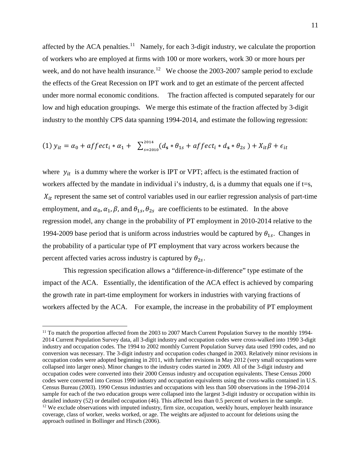affected by the ACA penalties.<sup>11</sup> Namely, for each 3-digit industry, we calculate the proportion of workers who are employed at firms with 100 or more workers, work 30 or more hours per week, and do not have health insurance.<sup>[12](#page-13-1)</sup> We choose the 2003-2007 sample period to exclude the effects of the Great Recession on IPT work and to get an estimate of the percent affected under more normal economic conditions. The fraction affected is computed separately for our low and high education groupings. We merge this estimate of the fraction affected by 3-digit industry to the monthly CPS data spanning 1994-2014, and estimate the following regression:

(1) 
$$
y_{it} = \alpha_0 + affect_i * \alpha_1 + \sum_{s=2010}^{2014} (d_s * \theta_{1s} + affect_i * d_s * \theta_{2s}) + X_{it}\beta + \epsilon_{it}
$$

where  $y_{it}$  is a dummy where the worker is IPT or VPT; affect<sub>i</sub> is the estimated fraction of workers affected by the mandate in individual i's industry,  $d_s$  is a dummy that equals one if t=s,  $X_{it}$  represent the same set of control variables used in our earlier regression analysis of part-time employment, and  $\alpha_0$ ,  $\alpha_1$ ,  $\beta$ , and  $\theta_{1s}$ ,  $\theta_{2s}$  are coefficients to be estimated. In the above regression model, any change in the probability of PT employment in 2010-2014 relative to the 1994-2009 base period that is uniform across industries would be captured by  $\theta_{1s}$ . Changes in the probability of a particular type of PT employment that vary across workers because the percent affected varies across industry is captured by  $\theta_{2s}$ .

This regression specification allows a "difference-in-difference" type estimate of the impact of the ACA. Essentially, the identification of the ACA effect is achieved by comparing the growth rate in part-time employment for workers in industries with varying fractions of workers affected by the ACA. For example, the increase in the probability of PT employment

<span id="page-13-1"></span><span id="page-13-0"></span><sup>&</sup>lt;sup>11</sup> To match the proportion affected from the 2003 to 2007 March Current Population Survey to the monthly 1994-2014 Current Population Survey data, all 3-digit industry and occupation codes were cross-walked into 1990 3-digit industry and occupation codes. The 1994 to 2002 monthly Current Population Survey data used 1990 codes, and no conversion was necessary. The 3-digit industry and occupation codes changed in 2003. Relatively minor revisions in occupation codes were adopted beginning in 2011, with further revisions in May 2012 (very small occupations were collapsed into larger ones). Minor changes to the industry codes started in 2009. All of the 3-digit industry and occupation codes were converted into their 2000 Census industry and occupation equivalents. These Census 2000 codes were converted into Census 1990 industry and occupation equivalents using the cross-walks contained in U.S. Census Bureau (2003). 1990 Census industries and occupations with less than 500 observations in the 1994-2014 sample for each of the two education groups were collapsed into the largest 3-digit industry or occupation within its detailed industry (52) or detailed occupation (46). This affected less than 0.5 percent of workers in the sample.<br><sup>12</sup> We exclude observations with imputed industry, firm size, occupation, weekly hours, employer health ins coverage, class of worker, weeks worked, or age. The weights are adjusted to account for deletions using the approach outlined in Bollinger and Hirsch (2006).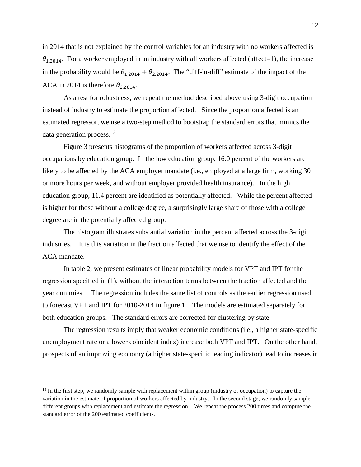in 2014 that is not explained by the control variables for an industry with no workers affected is  $\theta_{1,2014}$ . For a worker employed in an industry with all workers affected (affect=1), the increase in the probability would be  $\theta_{1,2014} + \theta_{2,2014}$ . The "diff-in-diff" estimate of the impact of the ACA in 2014 is therefore  $\theta_{2,2014}$ .

As a test for robustness, we repeat the method described above using 3-digit occupation instead of industry to estimate the proportion affected. Since the proportion affected is an estimated regressor, we use a two-step method to bootstrap the standard errors that mimics the data generation process.<sup>[13](#page-14-0)</sup>

Figure 3 presents histograms of the proportion of workers affected across 3-digit occupations by education group. In the low education group, 16.0 percent of the workers are likely to be affected by the ACA employer mandate (i.e., employed at a large firm, working 30 or more hours per week, and without employer provided health insurance). In the high education group, 11.4 percent are identified as potentially affected. While the percent affected is higher for those without a college degree, a surprisingly large share of those with a college degree are in the potentially affected group.

The histogram illustrates substantial variation in the percent affected across the 3-digit industries. It is this variation in the fraction affected that we use to identify the effect of the ACA mandate.

In table 2, we present estimates of linear probability models for VPT and IPT for the regression specified in (1), without the interaction terms between the fraction affected and the year dummies. The regression includes the same list of controls as the earlier regression used to forecast VPT and IPT for 2010-2014 in figure 1. The models are estimated separately for both education groups. The standard errors are corrected for clustering by state.

The regression results imply that weaker economic conditions (i.e., a higher state-specific unemployment rate or a lower coincident index) increase both VPT and IPT. On the other hand, prospects of an improving economy (a higher state-specific leading indicator) lead to increases in

<span id="page-14-0"></span><sup>&</sup>lt;sup>13</sup> In the first step, we randomly sample with replacement within group (industry or occupation) to capture the variation in the estimate of proportion of workers affected by industry. In the second stage, we randomly sample different groups with replacement and estimate the regression. We repeat the process 200 times and compute the standard error of the 200 estimated coefficients.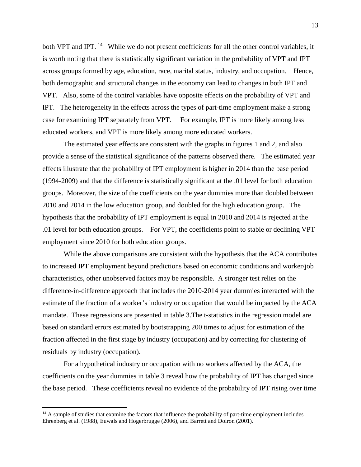both VPT and IPT. <sup>[14](#page-15-0)</sup> While we do not present coefficients for all the other control variables, it is worth noting that there is statistically significant variation in the probability of VPT and IPT across groups formed by age, education, race, marital status, industry, and occupation. Hence, both demographic and structural changes in the economy can lead to changes in both IPT and VPT. Also, some of the control variables have opposite effects on the probability of VPT and IPT. The heterogeneity in the effects across the types of part-time employment make a strong case for examining IPT separately from VPT. For example, IPT is more likely among less educated workers, and VPT is more likely among more educated workers.

The estimated year effects are consistent with the graphs in figures 1 and 2, and also provide a sense of the statistical significance of the patterns observed there. The estimated year effects illustrate that the probability of IPT employment is higher in 2014 than the base period (1994-2009) and that the difference is statistically significant at the .01 level for both education groups. Moreover, the size of the coefficients on the year dummies more than doubled between 2010 and 2014 in the low education group, and doubled for the high education group. The hypothesis that the probability of IPT employment is equal in 2010 and 2014 is rejected at the .01 level for both education groups. For VPT, the coefficients point to stable or declining VPT employment since 2010 for both education groups.

While the above comparisons are consistent with the hypothesis that the ACA contributes to increased IPT employment beyond predictions based on economic conditions and worker/job characteristics, other unobserved factors may be responsible. A stronger test relies on the difference-in-difference approach that includes the 2010-2014 year dummies interacted with the estimate of the fraction of a worker's industry or occupation that would be impacted by the ACA mandate. These regressions are presented in table 3.The t-statistics in the regression model are based on standard errors estimated by bootstrapping 200 times to adjust for estimation of the fraction affected in the first stage by industry (occupation) and by correcting for clustering of residuals by industry (occupation).

For a hypothetical industry or occupation with no workers affected by the ACA, the coefficients on the year dummies in table 3 reveal how the probability of IPT has changed since the base period. These coefficients reveal no evidence of the probability of IPT rising over time

<span id="page-15-0"></span> $14$  A sample of studies that examine the factors that influence the probability of part-time employment includes Ehrenberg et al. (1988), Euwals and Hogerbrugge (2006), and Barrett and Doiron (2001).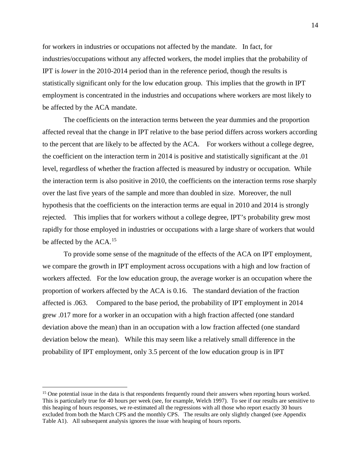for workers in industries or occupations not affected by the mandate. In fact, for industries/occupations without any affected workers, the model implies that the probability of IPT is *lower* in the 2010-2014 period than in the reference period, though the results is statistically significant only for the low education group. This implies that the growth in IPT employment is concentrated in the industries and occupations where workers are most likely to be affected by the ACA mandate.

The coefficients on the interaction terms between the year dummies and the proportion affected reveal that the change in IPT relative to the base period differs across workers according to the percent that are likely to be affected by the ACA. For workers without a college degree, the coefficient on the interaction term in 2014 is positive and statistically significant at the .01 level, regardless of whether the fraction affected is measured by industry or occupation. While the interaction term is also positive in 2010, the coefficients on the interaction terms rose sharply over the last five years of the sample and more than doubled in size. Moreover, the null hypothesis that the coefficients on the interaction terms are equal in 2010 and 2014 is strongly rejected. This implies that for workers without a college degree, IPT's probability grew most rapidly for those employed in industries or occupations with a large share of workers that would be affected by the ACA.<sup>15</sup>

To provide some sense of the magnitude of the effects of the ACA on IPT employment, we compare the growth in IPT employment across occupations with a high and low fraction of workers affected. For the low education group, the average worker is an occupation where the proportion of workers affected by the ACA is 0.16. The standard deviation of the fraction affected is .063. Compared to the base period, the probability of IPT employment in 2014 grew .017 more for a worker in an occupation with a high fraction affected (one standard deviation above the mean) than in an occupation with a low fraction affected (one standard deviation below the mean). While this may seem like a relatively small difference in the probability of IPT employment, only 3.5 percent of the low education group is in IPT

<span id="page-16-0"></span><sup>&</sup>lt;sup>15</sup> One potential issue in the data is that respondents frequently round their answers when reporting hours worked. This is particularly true for 40 hours per week (see, for example, Welch 1997). To see if our results are sensitive to this heaping of hours responses, we re-estimated all the regressions with all those who report exactly 30 hours excluded from both the March CPS and the monthly CPS. The results are only slightly changed (see Appendix Table A1). All subsequent analysis ignores the issue with heaping of hours reports.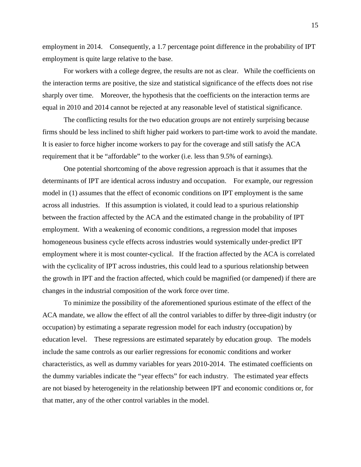employment in 2014. Consequently, a 1.7 percentage point difference in the probability of IPT employment is quite large relative to the base.

For workers with a college degree, the results are not as clear. While the coefficients on the interaction terms are positive, the size and statistical significance of the effects does not rise sharply over time. Moreover, the hypothesis that the coefficients on the interaction terms are equal in 2010 and 2014 cannot be rejected at any reasonable level of statistical significance.

The conflicting results for the two education groups are not entirely surprising because firms should be less inclined to shift higher paid workers to part-time work to avoid the mandate. It is easier to force higher income workers to pay for the coverage and still satisfy the ACA requirement that it be "affordable" to the worker (i.e. less than 9.5% of earnings).

One potential shortcoming of the above regression approach is that it assumes that the determinants of IPT are identical across industry and occupation. For example, our regression model in (1) assumes that the effect of economic conditions on IPT employment is the same across all industries. If this assumption is violated, it could lead to a spurious relationship between the fraction affected by the ACA and the estimated change in the probability of IPT employment. With a weakening of economic conditions, a regression model that imposes homogeneous business cycle effects across industries would systemically under-predict IPT employment where it is most counter-cyclical. If the fraction affected by the ACA is correlated with the cyclicality of IPT across industries, this could lead to a spurious relationship between the growth in IPT and the fraction affected, which could be magnified (or dampened) if there are changes in the industrial composition of the work force over time.

To minimize the possibility of the aforementioned spurious estimate of the effect of the ACA mandate, we allow the effect of all the control variables to differ by three-digit industry (or occupation) by estimating a separate regression model for each industry (occupation) by education level. These regressions are estimated separately by education group. The models include the same controls as our earlier regressions for economic conditions and worker characteristics, as well as dummy variables for years 2010-2014. The estimated coefficients on the dummy variables indicate the "year effects" for each industry. The estimated year effects are not biased by heterogeneity in the relationship between IPT and economic conditions or, for that matter, any of the other control variables in the model.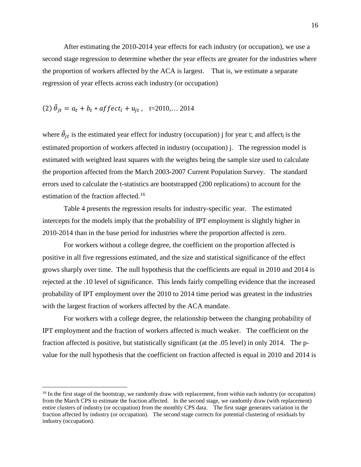After estimating the 2010-2014 year effects for each industry (or occupation), we use a second stage regression to determine whether the year effects are greater for the industries where the proportion of workers affected by the ACA is largest. That is, we estimate a separate regression of year effects across each industry (or occupation)

(2) 
$$
\hat{\theta}_{jt} = a_t + b_t * \text{aff} \, \text{ect}_i + u_{jt}
$$
, t=2010,... 2014

where  $\hat{\theta}_{jt}$  is the estimated year effect for industry (occupation) j for year t; and affect<sub>i</sub> is the estimated proportion of workers affected in industry (occupation) j. The regression model is estimated with weighted least squares with the weights being the sample size used to calculate the proportion affected from the March 2003-2007 Current Population Survey. The standard errors used to calculate the t-statistics are bootstrapped (200 replications) to account for the estimation of the fraction affected.<sup>[16](#page-18-0)</sup>

Table 4 presents the regression results for industry-specific year. The estimated intercepts for the models imply that the probability of IPT employment is slightly higher in 2010-2014 than in the base period for industries where the proportion affected is zero.

For workers without a college degree, the coefficient on the proportion affected is positive in all five regressions estimated, and the size and statistical significance of the effect grows sharply over time. The null hypothesis that the coefficients are equal in 2010 and 2014 is rejected at the .10 level of significance. This lends fairly compelling evidence that the increased probability of IPT employment over the 2010 to 2014 time period was greatest in the industries with the largest fraction of workers affected by the ACA mandate.

For workers with a college degree, the relationship between the changing probability of IPT employment and the fraction of workers affected is much weaker. The coefficient on the fraction affected is positive, but statistically significant (at the .05 level) in only 2014. The pvalue for the null hypothesis that the coefficient on fraction affected is equal in 2010 and 2014 is

<span id="page-18-0"></span><sup>&</sup>lt;sup>16</sup> In the first stage of the bootstrap, we randomly draw with replacement, from within each industry (or occupation) from the March CPS to estimate the fraction affected. In the second stage, we randomly draw (with replacement) entire clusters of industry (or occupation) from the monthly CPS data. The first stage generates variation in the fraction affected by industry (or occupation). The second stage corrects for potential clustering of residuals by industry (occupation).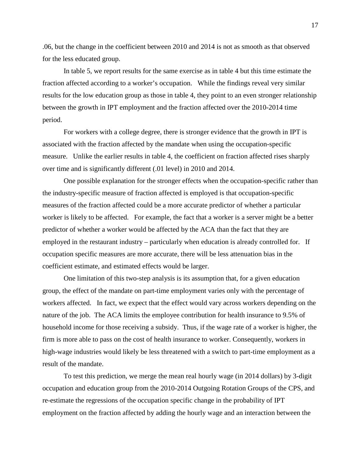.06, but the change in the coefficient between 2010 and 2014 is not as smooth as that observed for the less educated group.

In table 5, we report results for the same exercise as in table 4 but this time estimate the fraction affected according to a worker's occupation. While the findings reveal very similar results for the low education group as those in table 4, they point to an even stronger relationship between the growth in IPT employment and the fraction affected over the 2010-2014 time period.

For workers with a college degree, there is stronger evidence that the growth in IPT is associated with the fraction affected by the mandate when using the occupation-specific measure. Unlike the earlier results in table 4, the coefficient on fraction affected rises sharply over time and is significantly different (.01 level) in 2010 and 2014.

One possible explanation for the stronger effects when the occupation-specific rather than the industry-specific measure of fraction affected is employed is that occupation-specific measures of the fraction affected could be a more accurate predictor of whether a particular worker is likely to be affected. For example, the fact that a worker is a server might be a better predictor of whether a worker would be affected by the ACA than the fact that they are employed in the restaurant industry – particularly when education is already controlled for. If occupation specific measures are more accurate, there will be less attenuation bias in the coefficient estimate, and estimated effects would be larger.

One limitation of this two-step analysis is its assumption that, for a given education group, the effect of the mandate on part-time employment varies only with the percentage of workers affected. In fact, we expect that the effect would vary across workers depending on the nature of the job. The ACA limits the employee contribution for health insurance to 9.5% of household income for those receiving a subsidy. Thus, if the wage rate of a worker is higher, the firm is more able to pass on the cost of health insurance to worker. Consequently, workers in high-wage industries would likely be less threatened with a switch to part-time employment as a result of the mandate.

To test this prediction, we merge the mean real hourly wage (in 2014 dollars) by 3-digit occupation and education group from the 2010-2014 Outgoing Rotation Groups of the CPS, and re-estimate the regressions of the occupation specific change in the probability of IPT employment on the fraction affected by adding the hourly wage and an interaction between the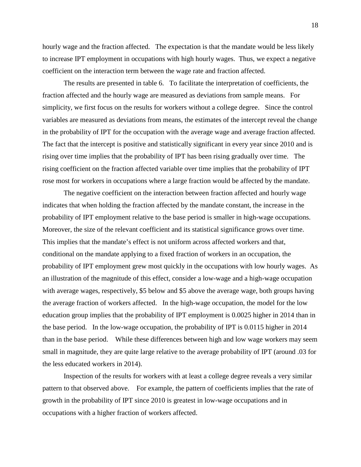hourly wage and the fraction affected. The expectation is that the mandate would be less likely to increase IPT employment in occupations with high hourly wages. Thus, we expect a negative coefficient on the interaction term between the wage rate and fraction affected.

The results are presented in table 6. To facilitate the interpretation of coefficients, the fraction affected and the hourly wage are measured as deviations from sample means. For simplicity, we first focus on the results for workers without a college degree. Since the control variables are measured as deviations from means, the estimates of the intercept reveal the change in the probability of IPT for the occupation with the average wage and average fraction affected. The fact that the intercept is positive and statistically significant in every year since 2010 and is rising over time implies that the probability of IPT has been rising gradually over time. The rising coefficient on the fraction affected variable over time implies that the probability of IPT rose most for workers in occupations where a large fraction would be affected by the mandate.

The negative coefficient on the interaction between fraction affected and hourly wage indicates that when holding the fraction affected by the mandate constant, the increase in the probability of IPT employment relative to the base period is smaller in high-wage occupations. Moreover, the size of the relevant coefficient and its statistical significance grows over time. This implies that the mandate's effect is not uniform across affected workers and that, conditional on the mandate applying to a fixed fraction of workers in an occupation, the probability of IPT employment grew most quickly in the occupations with low hourly wages. As an illustration of the magnitude of this effect, consider a low-wage and a high-wage occupation with average wages, respectively, \$5 below and \$5 above the average wage, both groups having the average fraction of workers affected. In the high-wage occupation, the model for the low education group implies that the probability of IPT employment is 0.0025 higher in 2014 than in the base period. In the low-wage occupation, the probability of IPT is 0.0115 higher in 2014 than in the base period. While these differences between high and low wage workers may seem small in magnitude, they are quite large relative to the average probability of IPT (around .03 for the less educated workers in 2014).

Inspection of the results for workers with at least a college degree reveals a very similar pattern to that observed above. For example, the pattern of coefficients implies that the rate of growth in the probability of IPT since 2010 is greatest in low-wage occupations and in occupations with a higher fraction of workers affected.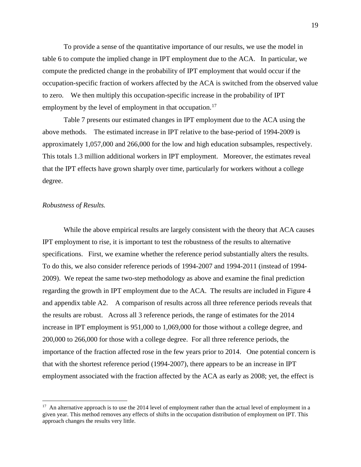To provide a sense of the quantitative importance of our results, we use the model in table 6 to compute the implied change in IPT employment due to the ACA. In particular, we compute the predicted change in the probability of IPT employment that would occur if the occupation-specific fraction of workers affected by the ACA is switched from the observed value to zero. We then multiply this occupation-specific increase in the probability of IPT employment by the level of employment in that occupation.<sup>17</sup>

Table 7 presents our estimated changes in IPT employment due to the ACA using the above methods. The estimated increase in IPT relative to the base-period of 1994-2009 is approximately 1,057,000 and 266,000 for the low and high education subsamples, respectively. This totals 1.3 million additional workers in IPT employment. Moreover, the estimates reveal that the IPT effects have grown sharply over time, particularly for workers without a college degree.

#### *Robustness of Results.*

While the above empirical results are largely consistent with the theory that ACA causes IPT employment to rise, it is important to test the robustness of the results to alternative specifications. First, we examine whether the reference period substantially alters the results. To do this, we also consider reference periods of 1994-2007 and 1994-2011 (instead of 1994- 2009). We repeat the same two-step methodology as above and examine the final prediction regarding the growth in IPT employment due to the ACA. The results are included in Figure 4 and appendix table A2. A comparison of results across all three reference periods reveals that the results are robust. Across all 3 reference periods, the range of estimates for the 2014 increase in IPT employment is 951,000 to 1,069,000 for those without a college degree, and 200,000 to 266,000 for those with a college degree. For all three reference periods, the importance of the fraction affected rose in the few years prior to 2014. One potential concern is that with the shortest reference period (1994-2007), there appears to be an increase in IPT employment associated with the fraction affected by the ACA as early as 2008; yet, the effect is

<span id="page-21-0"></span> $17$  An alternative approach is to use the 2014 level of employment rather than the actual level of employment in a given year. This method removes any effects of shifts in the occupation distribution of employment on IPT. This approach changes the results very little.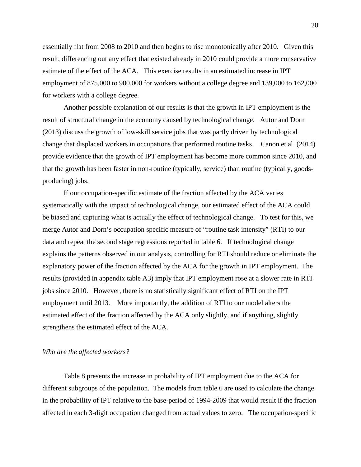essentially flat from 2008 to 2010 and then begins to rise monotonically after 2010. Given this result, differencing out any effect that existed already in 2010 could provide a more conservative estimate of the effect of the ACA. This exercise results in an estimated increase in IPT employment of 875,000 to 900,000 for workers without a college degree and 139,000 to 162,000 for workers with a college degree.

Another possible explanation of our results is that the growth in IPT employment is the result of structural change in the economy caused by technological change. Autor and Dorn (2013) discuss the growth of low-skill service jobs that was partly driven by technological change that displaced workers in occupations that performed routine tasks. Canon et al. (2014) provide evidence that the growth of IPT employment has become more common since 2010, and that the growth has been faster in non-routine (typically, service) than routine (typically, goodsproducing) jobs.

If our occupation-specific estimate of the fraction affected by the ACA varies systematically with the impact of technological change, our estimated effect of the ACA could be biased and capturing what is actually the effect of technological change. To test for this, we merge Autor and Dorn's occupation specific measure of "routine task intensity" (RTI) to our data and repeat the second stage regressions reported in table 6. If technological change explains the patterns observed in our analysis, controlling for RTI should reduce or eliminate the explanatory power of the fraction affected by the ACA for the growth in IPT employment. The results (provided in appendix table A3) imply that IPT employment rose at a slower rate in RTI jobs since 2010. However, there is no statistically significant effect of RTI on the IPT employment until 2013. More importantly, the addition of RTI to our model alters the estimated effect of the fraction affected by the ACA only slightly, and if anything, slightly strengthens the estimated effect of the ACA.

#### *Who are the affected workers?*

Table 8 presents the increase in probability of IPT employment due to the ACA for different subgroups of the population. The models from table 6 are used to calculate the change in the probability of IPT relative to the base-period of 1994-2009 that would result if the fraction affected in each 3-digit occupation changed from actual values to zero. The occupation-specific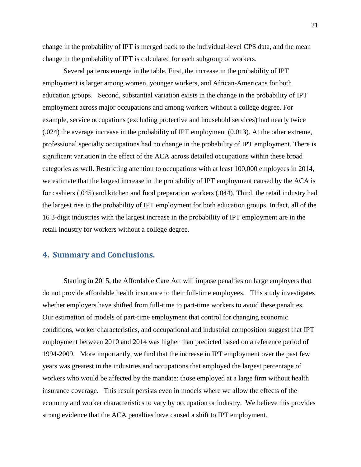change in the probability of IPT is merged back to the individual-level CPS data, and the mean change in the probability of IPT is calculated for each subgroup of workers.

Several patterns emerge in the table. First, the increase in the probability of IPT employment is larger among women, younger workers, and African-Americans for both education groups. Second, substantial variation exists in the change in the probability of IPT employment across major occupations and among workers without a college degree. For example, service occupations (excluding protective and household services) had nearly twice (.024) the average increase in the probability of IPT employment (0.013). At the other extreme, professional specialty occupations had no change in the probability of IPT employment. There is significant variation in the effect of the ACA across detailed occupations within these broad categories as well. Restricting attention to occupations with at least 100,000 employees in 2014, we estimate that the largest increase in the probability of IPT employment caused by the ACA is for cashiers (.045) and kitchen and food preparation workers (.044). Third, the retail industry had the largest rise in the probability of IPT employment for both education groups. In fact, all of the 16 3-digit industries with the largest increase in the probability of IPT employment are in the retail industry for workers without a college degree.

#### **4. Summary and Conclusions.**

Starting in 2015, the Affordable Care Act will impose penalties on large employers that do not provide affordable health insurance to their full-time employees. This study investigates whether employers have shifted from full-time to part-time workers to avoid these penalties. Our estimation of models of part-time employment that control for changing economic conditions, worker characteristics, and occupational and industrial composition suggest that IPT employment between 2010 and 2014 was higher than predicted based on a reference period of 1994-2009. More importantly, we find that the increase in IPT employment over the past few years was greatest in the industries and occupations that employed the largest percentage of workers who would be affected by the mandate: those employed at a large firm without health insurance coverage. This result persists even in models where we allow the effects of the economy and worker characteristics to vary by occupation or industry. We believe this provides strong evidence that the ACA penalties have caused a shift to IPT employment.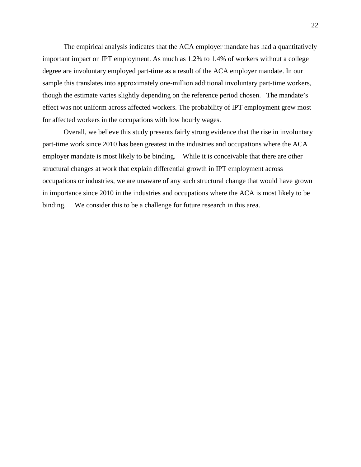The empirical analysis indicates that the ACA employer mandate has had a quantitatively important impact on IPT employment. As much as 1.2% to 1.4% of workers without a college degree are involuntary employed part-time as a result of the ACA employer mandate. In our sample this translates into approximately one-million additional involuntary part-time workers, though the estimate varies slightly depending on the reference period chosen. The mandate's effect was not uniform across affected workers. The probability of IPT employment grew most for affected workers in the occupations with low hourly wages.

Overall, we believe this study presents fairly strong evidence that the rise in involuntary part-time work since 2010 has been greatest in the industries and occupations where the ACA employer mandate is most likely to be binding. While it is conceivable that there are other structural changes at work that explain differential growth in IPT employment across occupations or industries, we are unaware of any such structural change that would have grown in importance since 2010 in the industries and occupations where the ACA is most likely to be binding. We consider this to be a challenge for future research in this area.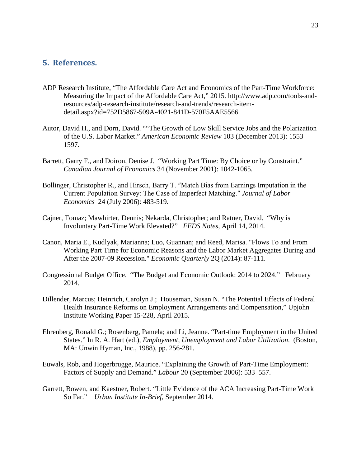#### **5. References.**

- ADP Research Institute, "The Affordable Care Act and Economics of the Part-Time Workforce: Measuring the Impact of the Affordable Care Act," 2015. http://www.adp.com/tools-andresources/adp-research-institute/research-and-trends/research-itemdetail.aspx?id=752D5867-509A-4021-841D-570F5AAE5566
- Autor, David H., and Dorn, David. ""The Growth of Low Skill Service Jobs and the Polarization of the U.S. Labor Market." *American Economic Review* 103 (December 2013): 1553 – 1597.
- Barrett, Garry F., and Doiron, Denise J. "Working Part Time: By Choice or by Constraint." *Canadian Journal of Economics* 34 (November 2001): 1042-1065.
- Bollinger, Christopher R., and Hirsch, Barry T. ″Match Bias from Earnings Imputation in the Current Population Survey: The Case of Imperfect Matching.″ *Journal of Labor Economics* 24 (July 2006): 483-519.
- Cajner, Tomaz; Mawhirter, Dennis; Nekarda, Christopher; and Ratner, David. "Why is Involuntary Part-Time Work Elevated?" *FEDS Notes*, April 14, 2014.
- Canon, Maria E., Kudlyak, Marianna; Luo, Guannan; and Reed, Marisa. "Flows To and From Working Part Time for Economic Reasons and the Labor Market Aggregates During and After the 2007-09 Recession." *Economic Quarterly* 2Q (2014): 87-111.
- Congressional Budget Office. "The Budget and Economic Outlook: 2014 to 2024." February 2014.
- Dillender, Marcus; Heinrich, Carolyn J.; Houseman, Susan N. "The Potential Effects of Federal Health Insurance Reforms on Employment Arrangements and Compensation," Upjohn Institute Working Paper 15-228, April 2015.
- Ehrenberg, Ronald G.; Rosenberg, Pamela; and Li, Jeanne. "Part-time Employment in the United States." In R. A. Hart (ed.), *Employment, Unemployment and Labor Utilization*. (Boston, MA: Unwin Hyman, Inc., 1988), pp. 256-281.
- Euwals, Rob, and Hogerbrugge, Maurice. "Explaining the Growth of Part-Time Employment: Factors of Supply and Demand." *Labour* 20 (September 2006): 533–557.
- Garrett, Bowen, and Kaestner, Robert. "Little Evidence of the ACA Increasing Part-Time Work So Far." *Urban Institute In-Brief*, September 2014.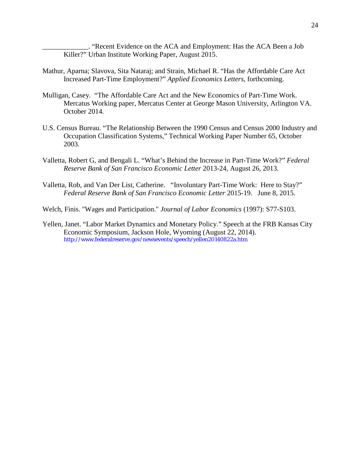\_\_\_\_\_\_\_\_\_\_\_\_\_. "Recent Evidence on the ACA and Employment: Has the ACA Been a Job Killer?" Urban Institute Working Paper, August 2015.

- Mathur, Aparna; Slavova, Sita Nataraj; and Strain, Michael R. "Has the Affordable Care Act Increased Part-Time Employment?" *Applied Economics Letters*, forthcoming.
- Mulligan, Casey. "The Affordable Care Act and the New Economics of Part-Time Work. Mercatus Working paper, Mercatus Center at George Mason University, Arlington VA. October 2014.
- U.S. Census Bureau. "The Relationship Between the 1990 Census and Census 2000 Industry and Occupation Classification Systems," Technical Working Paper Number 65, October 2003.
- Valletta, Robert G, and Bengali L. "What's Behind the Increase in Part-Time Work?" *Federal Reserve Bank of San Francisco Economic Letter* 2013-24, August 26, 2013.
- Valletta, Rob, and Van Der List, Catherine. "Involuntary Part-Time Work: Here to Stay?" *Federal Reserve Bank of San Francisco Economic Letter* 2015-19. June 8, 2015.
- Welch, Finis. "Wages and Participation." *Journal of Labor Economics* (1997): S77-S103.
- Yellen, Janet. "Labor Market Dynamics and Monetary Policy." Speech at the FRB Kansas City Economic Symposium, Jackson Hole, Wyoming (August 22, 2014). http://www.federalreserve.gov/newsevents/speech/yellen20140822a.htm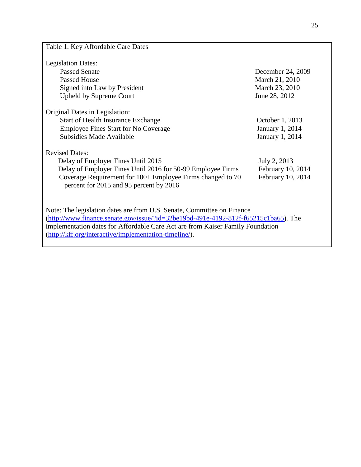### Table 1. Key Affordable Care Dates

| <b>Legislation Dates:</b>                                                                                                                                                                                                                                                                                           |                        |  |  |  |  |  |  |
|---------------------------------------------------------------------------------------------------------------------------------------------------------------------------------------------------------------------------------------------------------------------------------------------------------------------|------------------------|--|--|--|--|--|--|
| <b>Passed Senate</b>                                                                                                                                                                                                                                                                                                | December 24, 2009      |  |  |  |  |  |  |
| Passed House                                                                                                                                                                                                                                                                                                        | March 21, 2010         |  |  |  |  |  |  |
| Signed into Law by President                                                                                                                                                                                                                                                                                        | March 23, 2010         |  |  |  |  |  |  |
| <b>Upheld by Supreme Court</b>                                                                                                                                                                                                                                                                                      | June 28, 2012          |  |  |  |  |  |  |
| Original Dates in Legislation:                                                                                                                                                                                                                                                                                      |                        |  |  |  |  |  |  |
| <b>Start of Health Insurance Exchange</b>                                                                                                                                                                                                                                                                           | October 1, 2013        |  |  |  |  |  |  |
| <b>Employee Fines Start for No Coverage</b>                                                                                                                                                                                                                                                                         | <b>January 1, 2014</b> |  |  |  |  |  |  |
| Subsidies Made Available                                                                                                                                                                                                                                                                                            | <b>January 1, 2014</b> |  |  |  |  |  |  |
| <b>Revised Dates:</b>                                                                                                                                                                                                                                                                                               |                        |  |  |  |  |  |  |
| Delay of Employer Fines Until 2015                                                                                                                                                                                                                                                                                  | July 2, 2013           |  |  |  |  |  |  |
| Delay of Employer Fines Until 2016 for 50-99 Employee Firms                                                                                                                                                                                                                                                         | February 10, 2014      |  |  |  |  |  |  |
| Coverage Requirement for 100+ Employee Firms changed to 70<br>percent for 2015 and 95 percent by 2016                                                                                                                                                                                                               | February 10, 2014      |  |  |  |  |  |  |
| Note: The legislation dates are from U.S. Senate, Committee on Finance<br>$(\text{http://www.finance.senate.gov/issue/?id=32be19bd-491e-4192-812f-f65215c1ba65})$ . The<br>implementation dates for Affordable Care Act are from Kaiser Family Foundation<br>(http://kff.org/interactive/implementation-timeline/). |                        |  |  |  |  |  |  |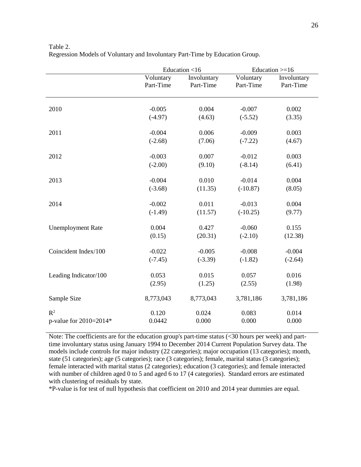|                          |                        | Education <16            | Education $>=16$       |                          |
|--------------------------|------------------------|--------------------------|------------------------|--------------------------|
|                          | Voluntary<br>Part-Time | Involuntary<br>Part-Time | Voluntary<br>Part-Time | Involuntary<br>Part-Time |
| 2010                     | $-0.005$<br>$(-4.97)$  | 0.004<br>(4.63)          | $-0.007$<br>$(-5.52)$  | 0.002<br>(3.35)          |
|                          |                        |                          |                        |                          |
| 2011                     | $-0.004$               | 0.006                    | $-0.009$               | 0.003                    |
|                          | $(-2.68)$              | (7.06)                   | $(-7.22)$              | (4.67)                   |
| 2012                     | $-0.003$               | 0.007                    | $-0.012$               | 0.003                    |
|                          | $(-2.00)$              | (9.10)                   | $(-8.14)$              | (6.41)                   |
| 2013                     | $-0.004$               | 0.010                    | $-0.014$               | 0.004                    |
|                          | $(-3.68)$              | (11.35)                  | $(-10.87)$             | (8.05)                   |
| 2014                     | $-0.002$               | 0.011                    | $-0.013$               | 0.004                    |
|                          | $(-1.49)$              | (11.57)                  | $(-10.25)$             | (9.77)                   |
| <b>Unemployment Rate</b> | 0.004                  | 0.427                    | $-0.060$               | 0.155                    |
|                          | (0.15)                 | (20.31)                  | $(-2.10)$              | (12.38)                  |
| Coincident Index/100     | $-0.022$               | $-0.005$                 | $-0.008$               | $-0.004$                 |
|                          | $(-7.45)$              | $(-3.39)$                | $(-1.82)$              | $(-2.64)$                |
| Leading Indicator/100    | 0.053                  | 0.015                    | 0.057                  | 0.016                    |
|                          | (2.95)                 | (1.25)                   | (2.55)                 | (1.98)                   |
| Sample Size              | 8,773,043              | 8,773,043                | 3,781,186              | 3,781,186                |
| $R^2$                    | 0.120                  | 0.024                    | 0.083                  | 0.014                    |
| p-value for 2010=2014*   | 0.0442                 | 0.000                    | 0.000                  | 0.000                    |

Table 2. Regression Models of Voluntary and Involuntary Part-Time by Education Group.

Note: The coefficients are for the education group's part-time status (<30 hours per week) and parttime involuntary status using January 1994 to December 2014 Current Population Survey data. The models include controls for major industry (22 categories); major occupation (13 categories); month, state (51 categories); age (5 categories); race (3 categories); female, marital status (3 categories); female interacted with marital status (2 categories); education (3 categories); and female interacted with number of children aged 0 to 5 and aged 6 to 17 (4 categories). Standard errors are estimated with clustering of residuals by state.

\*P-value is for test of null hypothesis that coefficient on 2010 and 2014 year dummies are equal.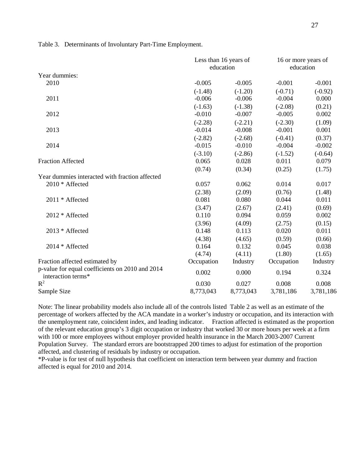Table 3. Determinants of Involuntary Part-Time Employment.

|                                                                       | Less than 16 years of<br>education |           | 16 or more years of<br>education |           |
|-----------------------------------------------------------------------|------------------------------------|-----------|----------------------------------|-----------|
| Year dummies:                                                         |                                    |           |                                  |           |
| 2010                                                                  | $-0.005$                           | $-0.005$  | $-0.001$                         | $-0.001$  |
|                                                                       | $(-1.48)$                          | $(-1.20)$ | $(-0.71)$                        | $(-0.92)$ |
| 2011                                                                  | $-0.006$                           | $-0.006$  | $-0.004$                         | 0.000     |
|                                                                       | $(-1.63)$                          | $(-1.38)$ | $(-2.08)$                        | (0.21)    |
| 2012                                                                  | $-0.010$                           | $-0.007$  | $-0.005$                         | 0.002     |
|                                                                       | $(-2.28)$                          | $(-2.21)$ | $(-2.30)$                        | (1.09)    |
| 2013                                                                  | $-0.014$                           | $-0.008$  | $-0.001$                         | 0.001     |
|                                                                       | $(-2.82)$                          | $(-2.68)$ | $(-0.41)$                        | (0.37)    |
| 2014                                                                  | $-0.015$                           | $-0.010$  | $-0.004$                         | $-0.002$  |
|                                                                       | $(-3.10)$                          | $(-2.86)$ | $(-1.52)$                        | $(-0.64)$ |
| <b>Fraction Affected</b>                                              | 0.065                              | 0.028     | 0.011                            | 0.079     |
|                                                                       | (0.74)                             | (0.34)    | (0.25)                           | (1.75)    |
| Year dummies interacted with fraction affected                        |                                    |           |                                  |           |
| 2010 * Affected                                                       | 0.057                              | 0.062     | 0.014                            | 0.017     |
|                                                                       | (2.38)                             | (2.09)    | (0.76)                           | (1.48)    |
| 2011 * Affected                                                       | 0.081                              | 0.080     | 0.044                            | 0.011     |
|                                                                       | (3.47)                             | (2.67)    | (2.41)                           | (0.69)    |
| 2012 * Affected                                                       | 0.110                              | 0.094     | 0.059                            | 0.002     |
|                                                                       | (3.96)                             | (4.09)    | (2.75)                           | (0.15)    |
| 2013 * Affected                                                       | 0.148                              | 0.113     | 0.020                            | 0.011     |
|                                                                       | (4.38)                             | (4.65)    | (0.59)                           | (0.66)    |
| 2014 * Affected                                                       | 0.164                              | 0.132     | 0.045                            | 0.038     |
|                                                                       | (4.74)                             | (4.11)    | (1.80)                           | (1.65)    |
| Fraction affected estimated by                                        | Occupation                         | Industry  | Occupation                       | Industry  |
| p-value for equal coefficients on 2010 and 2014<br>interaction terms* | 0.002                              | 0.000     | 0.194                            | 0.324     |
| $\mathbb{R}^2$                                                        | 0.030                              | 0.027     | 0.008                            | 0.008     |
| Sample Size                                                           | 8,773,043                          | 8,773,043 | 3,781,186                        | 3,781,186 |

Note: The linear probability models also include all of the controls listed Table 2 as well as an estimate of the percentage of workers affected by the ACA mandate in a worker's industry or occupation, and its interaction with the unemployment rate, coincident index, and leading indicator. Fraction affected is estimated as the proportion of the relevant education group's 3 digit occupation or industry that worked 30 or more hours per week at a firm with 100 or more employees without employer provided health insurance in the March 2003-2007 Current Population Survey. The standard errors are bootstrapped 200 times to adjust for estimation of the proportion affected, and clustering of residuals by industry or occupation.

\*P-value is for test of null hypothesis that coefficient on interaction term between year dummy and fraction affected is equal for 2010 and 2014.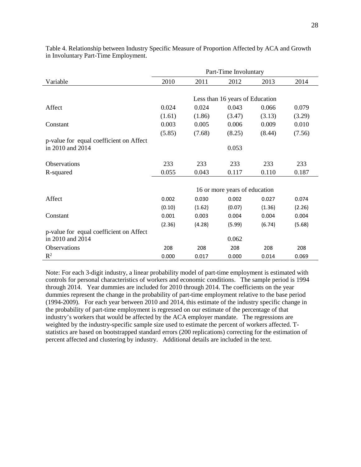|                                         | Part-Time Involuntary           |        |                               |        |        |  |  |  |  |
|-----------------------------------------|---------------------------------|--------|-------------------------------|--------|--------|--|--|--|--|
| Variable                                | 2010                            | 2011   | 2012                          | 2013   | 2014   |  |  |  |  |
|                                         |                                 |        |                               |        |        |  |  |  |  |
|                                         | Less than 16 years of Education |        |                               |        |        |  |  |  |  |
| Affect                                  | 0.024                           | 0.024  | 0.043                         | 0.066  | 0.079  |  |  |  |  |
|                                         | (1.61)                          | (1.86) | (3.47)                        | (3.13) | (3.29) |  |  |  |  |
| Constant                                | 0.003                           | 0.005  | 0.006                         | 0.009  | 0.010  |  |  |  |  |
|                                         | (5.85)                          | (7.68) | (8.25)                        | (8.44) | (7.56) |  |  |  |  |
| p-value for equal coefficient on Affect |                                 |        |                               |        |        |  |  |  |  |
| in 2010 and 2014                        |                                 |        | 0.053                         |        |        |  |  |  |  |
|                                         |                                 |        |                               |        |        |  |  |  |  |
| Observations                            | 233                             | 233    | 233                           | 233    | 233    |  |  |  |  |
| R-squared                               | 0.055                           | 0.043  | 0.117                         | 0.110  | 0.187  |  |  |  |  |
|                                         |                                 |        |                               |        |        |  |  |  |  |
|                                         |                                 |        | 16 or more years of education |        |        |  |  |  |  |
| Affect                                  | 0.002                           | 0.030  | 0.002                         | 0.027  | 0.074  |  |  |  |  |
|                                         | (0.10)                          | (1.62) | (0.07)                        | (1.36) | (2.26) |  |  |  |  |
| Constant                                | 0.001                           | 0.003  | 0.004                         | 0.004  | 0.004  |  |  |  |  |
|                                         | (2.36)                          | (4.28) | (5.99)                        | (6.74) | (5.68) |  |  |  |  |
| p-value for equal coefficient on Affect |                                 |        |                               |        |        |  |  |  |  |
| in 2010 and 2014                        |                                 |        | 0.062                         |        |        |  |  |  |  |
| Observations                            | 208                             | 208    | 208                           | 208    | 208    |  |  |  |  |
| $\mathbb{R}^2$                          | 0.000                           | 0.017  | 0.000                         | 0.014  | 0.069  |  |  |  |  |

Table 4. Relationship between Industry Specific Measure of Proportion Affected by ACA and Growth in Involuntary Part-Time Employment.

Note: For each 3-digit industry, a linear probability model of part-time employment is estimated with controls for personal characteristics of workers and economic conditions. The sample period is 1994 through 2014. Year dummies are included for 2010 through 2014. The coefficients on the year dummies represent the change in the probability of part-time employment relative to the base period (1994-2009). For each year between 2010 and 2014, this estimate of the industry specific change in the probability of part-time employment is regressed on our estimate of the percentage of that industry's workers that would be affected by the ACA employer mandate. The regressions are weighted by the industry-specific sample size used to estimate the percent of workers affected. Tstatistics are based on bootstrapped standard errors (200 replications) correcting for the estimation of percent affected and clustering by industry. Additional details are included in the text.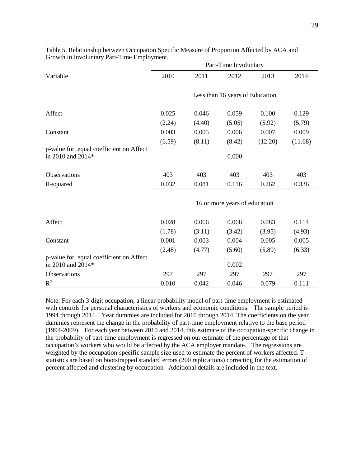|                                                              | Part-Time Involuntary           |        |        |         |         |  |  |  |  |
|--------------------------------------------------------------|---------------------------------|--------|--------|---------|---------|--|--|--|--|
| Variable                                                     | 2010                            | 2011   | 2012   | 2013    | 2014    |  |  |  |  |
|                                                              | Less than 16 years of Education |        |        |         |         |  |  |  |  |
| Affect                                                       | 0.025                           | 0.046  | 0.059  | 0.100   | 0.129   |  |  |  |  |
|                                                              | (2.24)                          | (4.40) | (5.05) | (5.92)  | (5.79)  |  |  |  |  |
| Constant                                                     | 0.003                           | 0.005  | 0.006  | 0.007   | 0.009   |  |  |  |  |
|                                                              | (6.59)                          | (8.11) | (8.42) | (12.20) | (11.68) |  |  |  |  |
| p-value for equal coefficient on Affect<br>in 2010 and 2014* |                                 |        | 0.000  |         |         |  |  |  |  |
| <b>Observations</b>                                          | 403                             | 403    | 403    | 403     | 403     |  |  |  |  |
| R-squared                                                    | 0.032                           | 0.081  | 0.116  | 0.262   | 0.336   |  |  |  |  |
|                                                              | 16 or more years of education   |        |        |         |         |  |  |  |  |
| Affect                                                       | 0.028                           | 0.066  | 0.068  | 0.083   | 0.114   |  |  |  |  |
|                                                              | (1.78)                          | (3.11) | (3.42) | (3.95)  | (4.93)  |  |  |  |  |
| Constant                                                     | 0.001                           | 0.003  | 0.004  | 0.005   | 0.005   |  |  |  |  |
|                                                              | (2.48)                          | (4.77) | (5.60) | (5.89)  | (6.33)  |  |  |  |  |
| p-value for equal coefficient on Affect<br>in 2010 and 2014* |                                 |        | 0.002  |         |         |  |  |  |  |
| Observations                                                 | 297                             | 297    | 297    | 297     | 297     |  |  |  |  |
| $R^2$                                                        | 0.010                           | 0.042  | 0.046  | 0.079   | 0.111   |  |  |  |  |

Table 5. Relationship between Occupation Specific Measure of Proportion Affected by ACA and Growth in Involuntary Part-Time Employment.

Note: For each 3-digit occupation, a linear probability model of part-time employment is estimated with controls for personal characteristics of workers and economic conditions. The sample period is 1994 through 2014. Year dummies are included for 2010 through 2014. The coefficients on the year dummies represent the change in the probability of part-time employment relative to the base period (1994-2009). For each year between 2010 and 2014, this estimate of the occupation-specific change in the probability of part-time employment is regressed on our estimate of the percentage of that occupation's workers who would be affected by the ACA employer mandate. The regressions are weighted by the occupation-specific sample size used to estimate the percent of workers affected. Tstatistics are based on bootstrapped standard errors (200 replications) correcting for the estimation of percent affected and clustering by occupation Additional details are included in the text.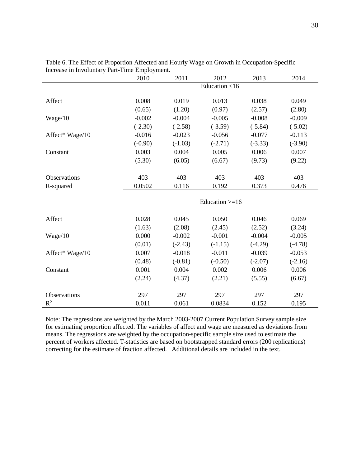|                 | 2010                     | 2011      | 2012             | 2013      | 2014      |
|-----------------|--------------------------|-----------|------------------|-----------|-----------|
|                 |                          |           | Education <16    |           |           |
|                 |                          |           |                  |           |           |
| Affect          | 0.008                    | 0.019     | 0.013            | 0.038     | 0.049     |
|                 | (0.65)                   | (1.20)    | (0.97)           | (2.57)    | (2.80)    |
| Wage/10         | $-0.002$                 | $-0.004$  | $-0.005$         | $-0.008$  | $-0.009$  |
|                 | $(-2.30)$                | $(-2.58)$ | $(-3.59)$        | $(-5.84)$ | $(-5.02)$ |
| Affect* Wage/10 | $-0.016$                 | $-0.023$  | $-0.056$         | $-0.077$  | $-0.113$  |
|                 | $(-0.90)$                | $(-1.03)$ | $(-2.71)$        | $(-3.33)$ | $(-3.90)$ |
| Constant        | 0.003                    | 0.004     | 0.005            | 0.006     | 0.007     |
|                 | (5.30)                   | (6.05)    | (6.67)           | (9.73)    | (9.22)    |
|                 |                          |           |                  |           |           |
| Observations    | 403                      | 403       | 403              | 403       | 403       |
| R-squared       | 0.116<br>0.0502<br>0.192 |           | 0.373            | 0.476     |           |
|                 |                          |           |                  |           |           |
|                 |                          |           | Education $>=16$ |           |           |
| Affect          | 0.028                    | 0.045     | 0.050            | 0.046     | 0.069     |
|                 | (1.63)                   | (2.08)    | (2.45)           | (2.52)    | (3.24)    |
| Wage/10         | 0.000                    | $-0.002$  | $-0.001$         | $-0.004$  | $-0.005$  |
|                 | (0.01)                   | $(-2.43)$ | $(-1.15)$        | $(-4.29)$ | $(-4.78)$ |
| Affect* Wage/10 | 0.007                    | $-0.018$  | $-0.011$         | $-0.039$  | $-0.053$  |
|                 | (0.48)                   | $(-0.81)$ | $(-0.50)$        | $(-2.07)$ | $(-2.16)$ |
| Constant        | 0.001                    | 0.004     | 0.002            | 0.006     | 0.006     |
|                 |                          |           |                  |           |           |
|                 | (2.24)                   | (4.37)    | (2.21)           | (5.55)    | (6.67)    |
| Observations    | 297                      | 297       | 297              | 297       | 297       |
| $R^2$           |                          |           |                  |           |           |
|                 | 0.011                    | 0.061     | 0.0834           | 0.152     | 0.195     |

Table 6. The Effect of Proportion Affected and Hourly Wage on Growth in Occupation-Specific Increase in Involuntary Part-Time Employment.

Note: The regressions are weighted by the March 2003-2007 Current Population Survey sample size for estimating proportion affected. The variables of affect and wage are measured as deviations from means. The regressions are weighted by the occupation-specific sample size used to estimate the percent of workers affected. T-statistics are based on bootstrapped standard errors (200 replications) correcting for the estimate of fraction affected. Additional details are included in the text.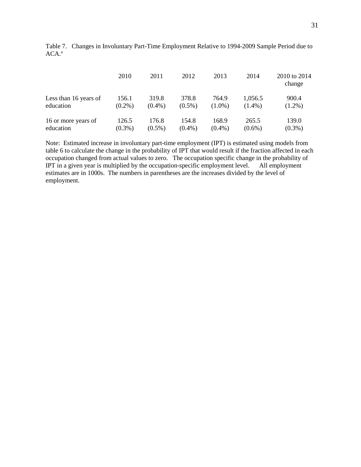|                       | 2010      | 2011      | 2012      | 2013      | 2014      | 2010 to 2014<br>change |
|-----------------------|-----------|-----------|-----------|-----------|-----------|------------------------|
| Less than 16 years of | 156.1     | 319.8     | 378.8     | 764.9     | 1,056.5   | 900.4                  |
| education             | $(0.2\%)$ | $(0.4\%)$ | $(0.5\%)$ | $(1.0\%)$ | $(1.4\%)$ | $(1.2\%)$              |
| 16 or more years of   | 126.5     | 176.8     | 154.8     | 168.9     | 265.5     | 139.0                  |
| education             | $(0.3\%)$ | $(0.5\%)$ | $(0.4\%)$ | $(0.4\%)$ | $(0.6\%)$ | $(0.3\%)$              |

Table 7. Changes in Involuntary Part-Time Employment Relative to 1994-2009 Sample Period due to ACA. a

Note: Estimated increase in involuntary part-time employment (IPT) is estimated using models from table 6 to calculate the change in the probability of IPT that would result if the fraction affected in each occupation changed from actual values to zero. The occupation specific change in the probability of IPT in a given year is multiplied by the occupation-specific employment level. All employment IPT in a given year is multiplied by the occupation-specific employment level. estimates are in 1000s. The numbers in parentheses are the increases divided by the level of employment.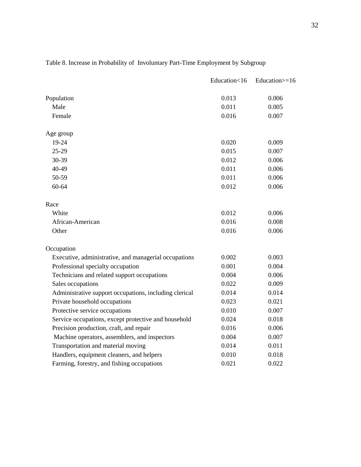|                                                        | Education<16 | Education>=16 |
|--------------------------------------------------------|--------------|---------------|
| Population                                             | 0.013        | 0.006         |
| Male                                                   | 0.011        | 0.005         |
| Female                                                 | 0.016        | 0.007         |
| Age group                                              |              |               |
| 19-24                                                  | 0.020        | 0.009         |
| 25-29                                                  | 0.015        | 0.007         |
| 30-39                                                  | 0.012        | 0.006         |
| 40-49                                                  | 0.011        | 0.006         |
| 50-59                                                  | 0.011        | 0.006         |
| 60-64                                                  | 0.012        | 0.006         |
| Race                                                   |              |               |
| White                                                  | 0.012        | 0.006         |
| African-American                                       | 0.016        | 0.008         |
| Other                                                  | 0.016        | 0.006         |
| Occupation                                             |              |               |
| Executive, administrative, and managerial occupations  | 0.002        | 0.003         |
| Professional specialty occupation                      | 0.001        | 0.004         |
| Technicians and related support occupations            | 0.004        | 0.006         |
| Sales occupations                                      | 0.022        | 0.009         |
| Administrative support occupations, including clerical | 0.014        | 0.014         |
| Private household occupations                          | 0.023        | 0.021         |
| Protective service occupations                         | 0.010        | 0.007         |
| Service occupations, except protective and household   | 0.024        | 0.018         |
| Precision production, craft, and repair                | 0.016        | 0.006         |
| Machine operators, assemblers, and inspectors          | 0.004        | 0.007         |
| Transportation and material moving                     | 0.014        | 0.011         |
| Handlers, equipment cleaners, and helpers              | 0.010        | 0.018         |
| Farming, forestry, and fishing occupations             | 0.021        | 0.022         |

### Table 8. Increase in Probability of Involuntary Part-Time Employment by Subgroup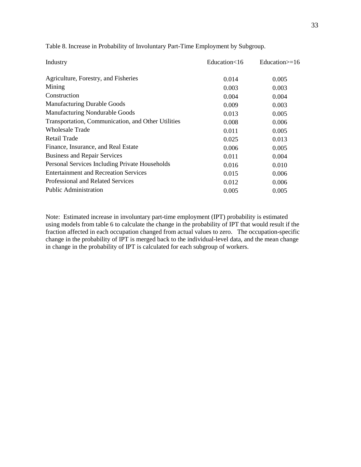| Industry                                           | Education<16 | Education $\geq 16$ |
|----------------------------------------------------|--------------|---------------------|
| Agriculture, Forestry, and Fisheries               | 0.014        | 0.005               |
| Mining                                             | 0.003        | 0.003               |
| Construction                                       | 0.004        | 0.004               |
| <b>Manufacturing Durable Goods</b>                 | 0.009        | 0.003               |
| <b>Manufacturing Nondurable Goods</b>              | 0.013        | 0.005               |
| Transportation, Communication, and Other Utilities | 0.008        | 0.006               |
| Wholesale Trade                                    | 0.011        | 0.005               |
| <b>Retail Trade</b>                                | 0.025        | 0.013               |
| Finance, Insurance, and Real Estate                | 0.006        | 0.005               |
| <b>Business and Repair Services</b>                | 0.011        | 0.004               |
| Personal Services Including Private Households     | 0.016        | 0.010               |
| <b>Entertainment and Recreation Services</b>       | 0.015        | 0.006               |
| Professional and Related Services                  | 0.012        | 0.006               |
| <b>Public Administration</b>                       | 0.005        | 0.005               |

Table 8. Increase in Probability of Involuntary Part-Time Employment by Subgroup.

Note: Estimated increase in involuntary part-time employment (IPT) probability is estimated using models from table 6 to calculate the change in the probability of IPT that would result if the fraction affected in each occupation changed from actual values to zero. The occupation-specific change in the probability of IPT is merged back to the individual-level data, and the mean change in change in the probability of IPT is calculated for each subgroup of workers.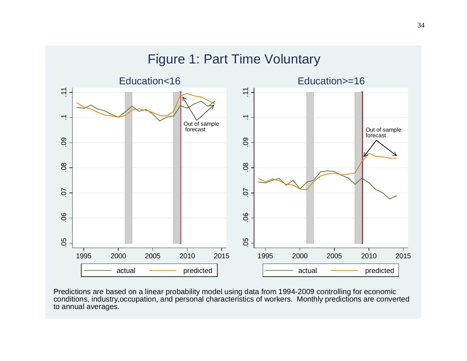

Predictions are based on a linear probability model using data from 1994-2009 controlling for economic conditions, industry,occupation, and personal characteristics of workers. Monthly predictions are converted to annual averages.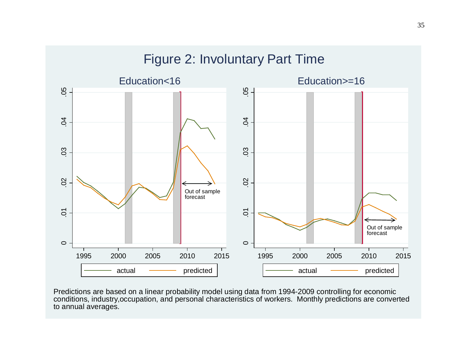

Predictions are based on a linear probability model using data from 1994-2009 controlling for economic conditions, industry,occupation, and personal characteristics of workers. Monthly predictions are converted to annual averages.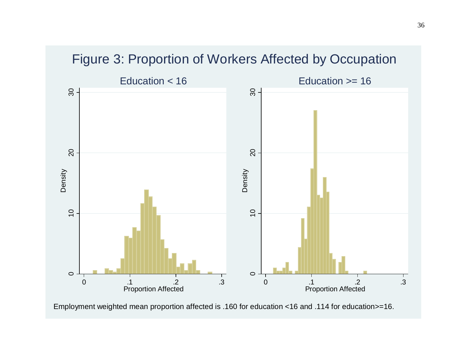

# Figure 3: Proportion of Workers Affected by Occupation

Employment weighted mean proportion affected is .160 for education <16 and .114 for education>=16.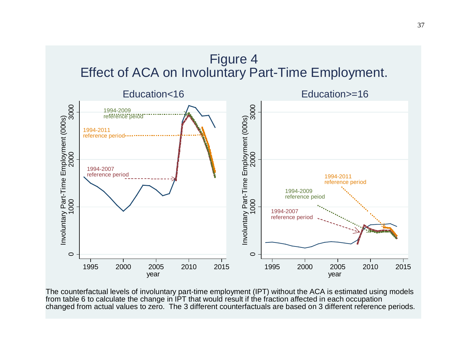



The counterfactual levels of involuntary part-time employment (IPT) without the ACA is estimated using models from table 6 to calculate the change in IPT that would result if the fraction affected in each occupation changed from actual values to zero. The 3 different counterfactuals are based on 3 different reference periods.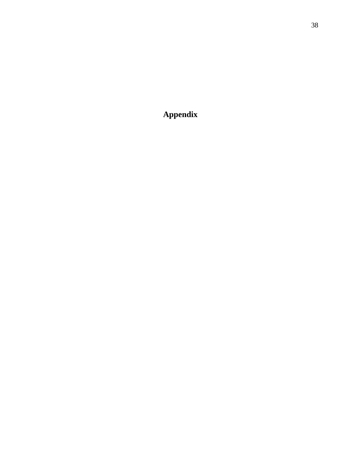**Appendix**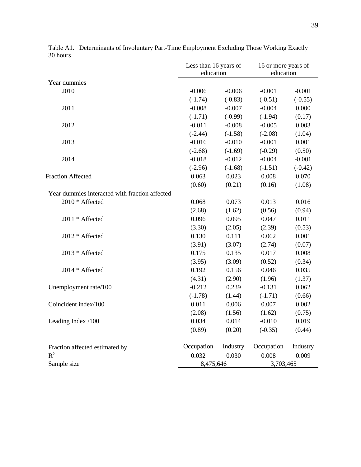|                                                | Less than 16 years of<br>education |           | 16 or more years of<br>education |           |
|------------------------------------------------|------------------------------------|-----------|----------------------------------|-----------|
| Year dummies                                   |                                    |           |                                  |           |
| 2010                                           | $-0.006$                           | $-0.006$  | $-0.001$                         | $-0.001$  |
|                                                | $(-1.74)$                          | $(-0.83)$ | $(-0.51)$                        | $(-0.55)$ |
| 2011                                           | $-0.008$                           | $-0.007$  | $-0.004$                         | 0.000     |
|                                                | $(-1.71)$                          | $(-0.99)$ | $(-1.94)$                        | (0.17)    |
| 2012                                           | $-0.011$                           | $-0.008$  | $-0.005$                         | 0.003     |
|                                                | $(-2.44)$                          | $(-1.58)$ | $(-2.08)$                        | (1.04)    |
| 2013                                           | $-0.016$                           | $-0.010$  | $-0.001$                         | 0.001     |
|                                                | $(-2.68)$                          | $(-1.69)$ | $(-0.29)$                        | (0.50)    |
| 2014                                           | $-0.018$                           | $-0.012$  | $-0.004$                         | $-0.001$  |
|                                                | $(-2.96)$                          | $(-1.68)$ | $(-1.51)$                        | $(-0.42)$ |
| <b>Fraction Affected</b>                       | 0.063                              | 0.023     | 0.008                            | 0.070     |
|                                                | (0.60)                             | (0.21)    | (0.16)                           | (1.08)    |
| Year dummies interacted with fraction affected |                                    |           |                                  |           |
| 2010 * Affected                                | 0.068                              | 0.073     | 0.013                            | 0.016     |
|                                                | (2.68)                             | (1.62)    | (0.56)                           | (0.94)    |
| 2011 * Affected                                | 0.096                              | 0.095     | 0.047                            | 0.011     |
|                                                | (3.30)                             | (2.05)    | (2.39)                           | (0.53)    |
| 2012 * Affected                                | 0.130                              | 0.111     | 0.062                            | 0.001     |
|                                                | (3.91)                             | (3.07)    | (2.74)                           | (0.07)    |
| 2013 * Affected                                | 0.175                              | 0.135     | 0.017                            | 0.008     |
|                                                | (3.95)                             | (3.09)    | (0.52)                           | (0.34)    |
| 2014 * Affected                                | 0.192                              | 0.156     | 0.046                            | 0.035     |
|                                                | (4.31)                             | (2.90)    | (1.96)                           | (1.37)    |
| Unemployment rate/100                          | $-0.212$                           | 0.239     | $-0.131$                         | 0.062     |
|                                                | $(-1.78)$                          | (1.44)    | $(-1.71)$                        | (0.66)    |
| Coincident index/100                           | 0.011                              | 0.006     | 0.007                            | 0.002     |
|                                                | (2.08)                             | (1.56)    | (1.62)                           | (0.75)    |
| Leading Index /100                             | 0.034                              | 0.014     | $-0.010$                         | 0.019     |
|                                                | (0.89)                             | (0.20)    | $(-0.35)$                        | (0.44)    |
| Fraction affected estimated by                 | Occupation                         | Industry  | Occupation                       | Industry  |
| $R^2$                                          | 0.032                              | 0.030     | 0.008                            | 0.009     |
| Sample size                                    | 8,475,646                          |           | 3,703,465                        |           |

Table A1. Determinants of Involuntary Part-Time Employment Excluding Those Working Exactly 30 hours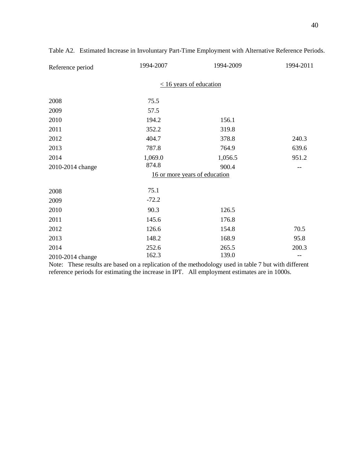| Reference period | 1994-2007 | 1994-2009                     | 1994-2011 |
|------------------|-----------|-------------------------------|-----------|
|                  |           | $\leq$ 16 years of education  |           |
| 2008             | 75.5      |                               |           |
| 2009             | 57.5      |                               |           |
| 2010             | 194.2     | 156.1                         |           |
| 2011             | 352.2     | 319.8                         |           |
| 2012             | 404.7     | 378.8                         | 240.3     |
| 2013             | 787.8     | 764.9                         | 639.6     |
| 2014             | 1,069.0   | 1,056.5                       | 951.2     |
| 2010-2014 change | 874.8     | 900.4                         |           |
|                  |           | 16 or more years of education |           |
| 2008             | 75.1      |                               |           |
| 2009             | $-72.2$   |                               |           |
| 2010             | 90.3      | 126.5                         |           |
| 2011             | 145.6     | 176.8                         |           |
| 2012             | 126.6     | 154.8                         | 70.5      |
| 2013             | 148.2     | 168.9                         | 95.8      |
| 2014             | 252.6     | 265.5                         | 200.3     |
| 2010-2014 change | 162.3     | 139.0                         |           |

Table A2. Estimated Increase in Involuntary Part-Time Employment with Alternative Reference Periods.

Note: These results are based on a replication of the methodology used in table 7 but with different reference periods for estimating the increase in IPT. All employment estimates are in 1000s.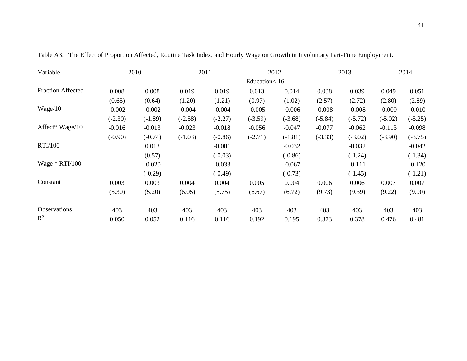| Variable                 |           | 2010      |           | 2011      |              | 2012      |           | 2013      |           | 2014      |
|--------------------------|-----------|-----------|-----------|-----------|--------------|-----------|-----------|-----------|-----------|-----------|
|                          |           |           |           |           | Education<16 |           |           |           |           |           |
| <b>Fraction Affected</b> | 0.008     | 0.008     | 0.019     | 0.019     | 0.013        | 0.014     | 0.038     | 0.039     | 0.049     | 0.051     |
|                          | (0.65)    | (0.64)    | (1.20)    | (1.21)    | (0.97)       | (1.02)    | (2.57)    | (2.72)    | (2.80)    | (2.89)    |
| Wage/10                  | $-0.002$  | $-0.002$  | $-0.004$  | $-0.004$  | $-0.005$     | $-0.006$  | $-0.008$  | $-0.008$  | $-0.009$  | $-0.010$  |
|                          | $(-2.30)$ | $(-1.89)$ | $(-2.58)$ | $(-2.27)$ | $(-3.59)$    | $(-3.68)$ | $(-5.84)$ | $(-5.72)$ | $(-5.02)$ | $(-5.25)$ |
| Affect* Wage/10          | $-0.016$  | $-0.013$  | $-0.023$  | $-0.018$  | $-0.056$     | $-0.047$  | $-0.077$  | $-0.062$  | $-0.113$  | $-0.098$  |
|                          | $(-0.90)$ | $(-0.74)$ | $(-1.03)$ | $(-0.86)$ | $(-2.71)$    | $(-1.81)$ | $(-3.33)$ | $(-3.02)$ | $(-3.90)$ | $(-3.75)$ |
| <b>RTI/100</b>           |           | 0.013     |           | $-0.001$  |              | $-0.032$  |           | $-0.032$  |           | $-0.042$  |
|                          |           | (0.57)    |           | $(-0.03)$ |              | $(-0.86)$ |           | $(-1.24)$ |           | $(-1.34)$ |
| Wage $*$ RTI/100         |           | $-0.020$  |           | $-0.033$  |              | $-0.067$  |           | $-0.111$  |           | $-0.120$  |
|                          |           | $(-0.29)$ |           | $(-0.49)$ |              | $(-0.73)$ |           | $(-1.45)$ |           | $(-1.21)$ |
| Constant                 | 0.003     | 0.003     | 0.004     | 0.004     | 0.005        | 0.004     | 0.006     | 0.006     | 0.007     | 0.007     |
|                          | (5.30)    | (5.20)    | (6.05)    | (5.75)    | (6.67)       | (6.72)    | (9.73)    | (9.39)    | (9.22)    | (9.00)    |
| <b>Observations</b>      | 403       | 403       | 403       | 403       | 403          | 403       | 403       | 403       | 403       | 403       |
| $R^2$                    | 0.050     | 0.052     | 0.116     | 0.116     | 0.192        | 0.195     | 0.373     | 0.378     | 0.476     | 0.481     |

Table A3. The Effect of Proportion Affected, Routine Task Index, and Hourly Wage on Growth in Involuntary Part-Time Employment.